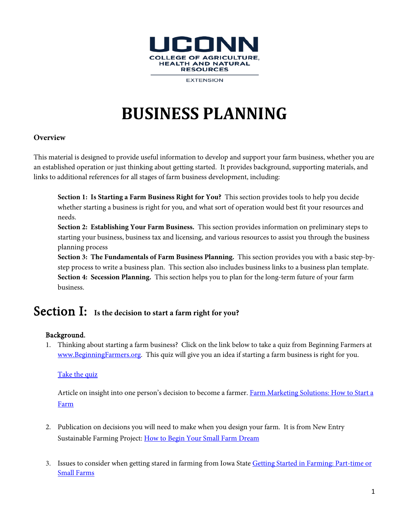

**EXTENSION** 

# **BUSINESS PLANNING**

## **Overview**

This material is designed to provide useful information to develop and support your farm business, whether you are an established operation or just thinking about getting started. It provides background, supporting materials, and links to additional references for all stages of farm business development, including:

**Section 1: Is Starting a Farm Business Right for You?** This section provides tools to help you decide whether starting a business is right for you, and what sort of operation would best fit your resources and needs.

**Section 2: Establishing Your Farm Business.** This section provides information on preliminary steps to starting your business, business tax and licensing, and various resources to assist you through the business planning process

**Section 3: The Fundamentals of Farm Business Planning.** This section provides you with a basic step-bystep process to write a business plan. This section also includes business links to a business plan template. **Section 4: Secession Planning.** This section helps you to plan for the long-term future of your farm business.

# Section I: **Is the decision to start a farm right for you?**

# Background.

1. Thinking about starting a farm business? Click on the link below to take a quiz from Beginning Farmers at [www.BeginningFarmers.org.](http://www.beginningfarmers.org/) This quiz will give you an idea if starting a farm business is right for you.

# Take the quiz

Article on insight into one person's decision to become a farmer. Farm Marketing Solutions: How to Start a [Farm](http://farmmarketingsolutions.com/how-to-start-a-farm/creating-a-realistic-timeline-for-farming/)

- 2. Publication on decisions you will need to make when you design your farm. It is from New Entry Sustainable Farming Project[: How to Begin Your Small Farm Dream](http://nesfp.org/sites/default/files/resources/how_to_begin_your_small_farm_dream.pdf)
- 3. Issues to consider when getting stared in farming from Iowa State [Getting Started in Farming: Part-time or](https://www.extension.iastate.edu/agdm/wholefarm/html/c4-09.html)  [Small Farms](https://www.extension.iastate.edu/agdm/wholefarm/html/c4-09.html)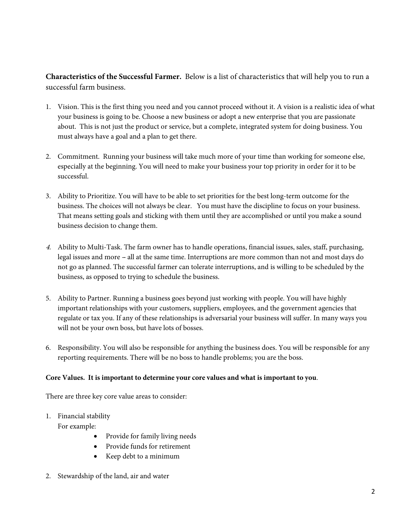**Characteristics of the Successful Farmer.** Below is a list of characteristics that will help you to run a successful farm business.

- 1. Vision. This is the first thing you need and you cannot proceed without it. A vision is a realistic idea of what your business is going to be. Choose a new business or adopt a new enterprise that you are passionate about. This is not just the product or service, but a complete, integrated system for doing business. You must always have a goal and a plan to get there.
- 2. Commitment. Running your business will take much more of your time than working for someone else, especially at the beginning. You will need to make your business your top priority in order for it to be successful.
- 3. Ability to Prioritize. You will have to be able to set priorities for the best long-term outcome for the business. The choices will not always be clear. You must have the discipline to focus on your business. That means setting goals and sticking with them until they are accomplished or until you make a sound business decision to change them.
- 4. Ability to Multi-Task. The farm owner has to handle operations, financial issues, sales, staff, purchasing, legal issues and more - all at the same time. Interruptions are more common than not and most days do not go as planned. The successful farmer can tolerate interruptions, and is willing to be scheduled by the business, as opposed to trying to schedule the business.
- 5. Ability to Partner. Running a business goes beyond just working with people. You will have highly important relationships with your customers, suppliers, employees, and the government agencies that regulate or tax you. If any of these relationships is adversarial your business will suffer. In many ways you will not be your own boss, but have lots of bosses.
- 6. Responsibility. You will also be responsible for anything the business does. You will be responsible for any reporting requirements. There will be no boss to handle problems; you are the boss.

# **Core Values. It is important to determine your core values and what is important to you**.

There are three key core value areas to consider:

1. Financial stability

For example:

- Provide for family living needs
- Provide funds for retirement
- Keep debt to a minimum
- 2. Stewardship of the land, air and water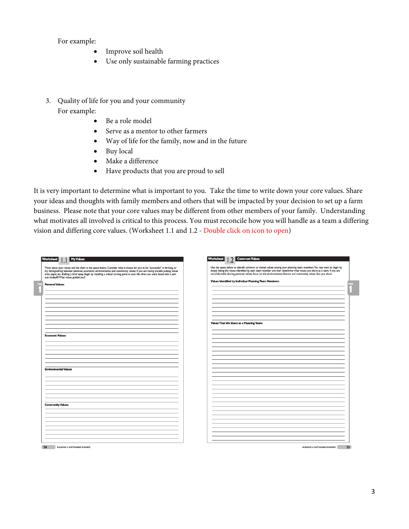For example:

- Improve soil health
- Use only sustainable farming practices
- 3. Quality of life for you and your community For example:
	- Be a role model
	- Serve as a mentor to other farmers
	- Way of life for the family, now and in the future
	- Buy local
	- Make a difference
	- Have products that you are proud to sell

It is very important to determine what is important to you. Take the time to write down your core values. Share your ideas and thoughts with family members and others that will be impacted by your decision to set up a farm business. Please note that your core values may be different from other members of your family. Understanding what motivates all involved is critical to this process. You must reconcile how you will handle as a team a differing vision and differing core values. (Worksheet 1.1 and 1.2 - Double click on icon to open)

| <b>Values That We Share as a Planning Team:</b> | Think about your values and list them in the space below. Consider what it means for you to be "successful" in farming, or<br>try distinguishing between personal, economic, environmental, and community values. If you are having trouble putting values<br>onto paper, try drafting a brief essay. Begin by recalling a critical turning point in your life when you were faced with a seri-<br>ous tradeoff. What values guided you?<br><b>Personal Values:</b> | Use the space below to identify common or shared values among your planning team members. You may want to begin by<br>simply listing the values identified by each team member and then determine what values you share as a team. If you are<br>uncomfortable sharing personal values, focus on the environmental, finance and community values that you share.<br><b>Values Identified by Individual Planning Team Members:</b> |
|-------------------------------------------------|---------------------------------------------------------------------------------------------------------------------------------------------------------------------------------------------------------------------------------------------------------------------------------------------------------------------------------------------------------------------------------------------------------------------------------------------------------------------|-----------------------------------------------------------------------------------------------------------------------------------------------------------------------------------------------------------------------------------------------------------------------------------------------------------------------------------------------------------------------------------------------------------------------------------|
|                                                 |                                                                                                                                                                                                                                                                                                                                                                                                                                                                     |                                                                                                                                                                                                                                                                                                                                                                                                                                   |
|                                                 | <b>Economic Values:</b>                                                                                                                                                                                                                                                                                                                                                                                                                                             |                                                                                                                                                                                                                                                                                                                                                                                                                                   |
|                                                 | <b>Environmental Values:</b>                                                                                                                                                                                                                                                                                                                                                                                                                                        |                                                                                                                                                                                                                                                                                                                                                                                                                                   |
|                                                 | <b>Community Values:</b>                                                                                                                                                                                                                                                                                                                                                                                                                                            |                                                                                                                                                                                                                                                                                                                                                                                                                                   |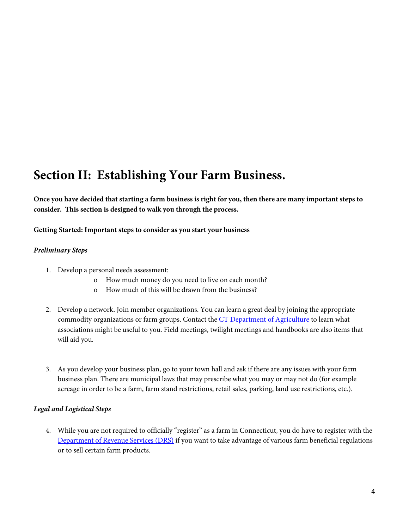# **Section II: Establishing Your Farm Business.**

**Once you have decided that starting a farm business is right for you, then there are many important steps to consider. This section is designed to walk you through the process.**

#### **Getting Started: Important steps to consider as you start your business**

#### *Preliminary Steps*

- 1. Develop a personal needs assessment:
	- o How much money do you need to live on each month?
	- o How much of this will be drawn from the business?
- 2. Develop a network. Join member organizations. You can learn a great deal by joining the appropriate commodity organizations or farm groups. Contact the [CT Department of Agriculture](http://www.ct.gov/doag) to learn what associations might be useful to you. Field meetings, twilight meetings and handbooks are also items that will aid you.
- 3. As you develop your business plan, go to your town hall and ask if there are any issues with your farm business plan. There are municipal laws that may prescribe what you may or may not do (for example acreage in order to be a farm, farm stand restrictions, retail sales, parking, land use restrictions, etc.).

#### *Legal and Logistical Steps*

4. While you are not required to officially "register" as a farm in Connecticut, you do have to register with the [Department of Revenue Services \(DRS\)](http://www.ct.gov/drs/) if you want to take advantage of various farm beneficial regulations or to sell certain farm products.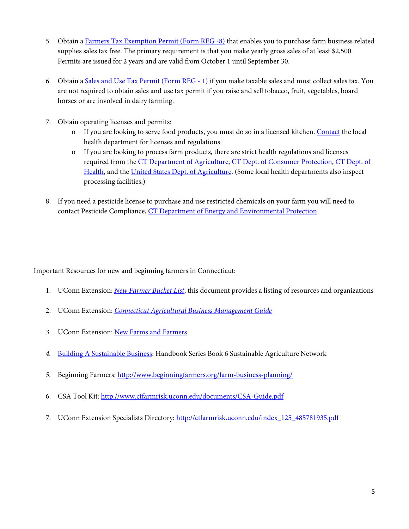- 5. Obtain a [Farmers Tax Exemption Permit \(Form REG -8\)](http://www.ct.gov/drs/lib/drs/forms/2014forms/applications/reg-8.pdf) that enables you to purchase farm business related supplies sales tax free. The primary requirement is that you make yearly gross sales of at least \$2,500. Permits are issued for 2 years and are valid from October 1 until September 30.
- 6. Obtain a [Sales and Use Tax Permit \(Form REG -](http://www.ct.gov/drs/lib/drs/filllable_applications/reg-1.pdf) 1) if you make taxable sales and must collect sales tax. You are not required to obtain sales and use tax permit if you raise and sell tobacco, fruit, vegetables, board horses or are involved in dairy farming.
- 7. Obtain operating licenses and permits:
	- o If you are looking to serve food products, you must do so in a licensed kitchen. [Contact](http://www.ct.gov/dph/) the local health department for licenses and regulations.
	- o If you are looking to process farm products, there are strict health regulations and licenses required from th[e CT Department of Agriculture,](http://www.ct.gov/DoAg) [CT Dept. of Consumer Protection,](http://www.ct.gov/dcp) [CT Dept. of](http://www.ct.gov/dph/)  [Health,](http://www.ct.gov/dph/) and the [United States Dept.](http://www.usda.gov/) of Agriculture. (Some local health departments also inspect processing facilities.)
- 8. If you need a pesticide license to purchase and use restricted chemicals on your farm you will need to contact Pesticide Compliance, [CT Department of Energy and Environmental](http://www.ct.gov/deep/) Protection

Important Resources for new and beginning farmers in Connecticut:

- 1. UConn Extension: *[New Farmer Bucket List](http://ctfarmrisk.uconn.edu/index_108_328625801.pdf)*, this document provides a listing of resources and organizations
- 2. UConn Extension: *[Connecticut Agricultural Business Management Guide](http://ctfarmrisk.uconn.edu/index_120_306926045.pdf)*
- *3.* UConn Extension: [New Farms and Farmers](http://newfarms.extension.uconn.edu/)
- *4.* [Building A Sustainable Business:](http://www.extension.umn.edu/food/small-farms/farm-business/docs/building-a-sustainable-business.pdf) Handbook Series Book 6 Sustainable Agriculture Network
- *5.* Beginning Farmers: <http://www.beginningfarmers.org/farm-business-planning/>
- 6. CSA Tool Kit:<http://www.ctfarmrisk.uconn.edu/documents/CSA-Guide.pdf>
- 7. UConn Extension Specialists Directory: [http://ctfarmrisk.uconn.edu/index\\_125\\_485781935.pdf](http://ctfarmrisk.uconn.edu/index_125_485781935.pdf)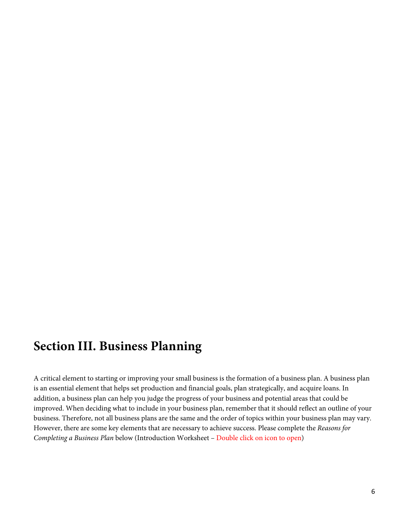# **Section III. Business Planning**

A critical element to starting or improving your small business is the formation of a business plan. A business plan is an essential element that helps set production and financial goals, plan strategically, and acquire loans. In addition, a business plan can help you judge the progress of your business and potential areas that could be improved. When deciding what to include in your business plan, remember that it should reflect an outline of your business. Therefore, not all business plans are the same and the order of topics within your business plan may vary. However, there are some key elements that are necessary to achieve success. Please complete the *Reasons for Completing a Business Plan* below (Introduction Worksheet – Double click on icon to open)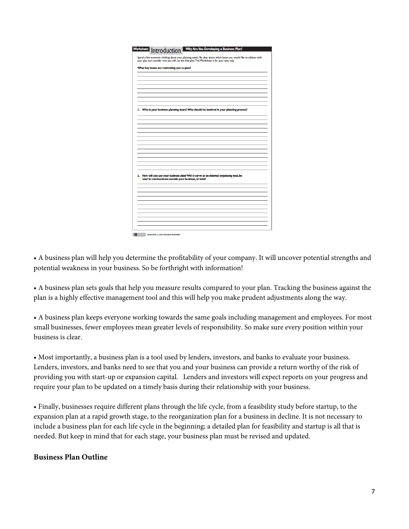| Introduction<br>Spend a few moments thinking about your planning needs. Be clear about which issues you would like to address with |
|------------------------------------------------------------------------------------------------------------------------------------|
| your plan and consider how you will use the final plan. This Worksheet is for your eyes only.                                      |
| What key issues are motivating you to plan?                                                                                        |
|                                                                                                                                    |
|                                                                                                                                    |
|                                                                                                                                    |
|                                                                                                                                    |
|                                                                                                                                    |
|                                                                                                                                    |
|                                                                                                                                    |
| I. Who is your business planning team? Who should be involved in your planning process?                                            |
|                                                                                                                                    |
|                                                                                                                                    |
|                                                                                                                                    |
|                                                                                                                                    |
|                                                                                                                                    |
|                                                                                                                                    |
|                                                                                                                                    |
|                                                                                                                                    |
|                                                                                                                                    |
|                                                                                                                                    |
|                                                                                                                                    |
| 2. How will you use your business plan? Will it serve as an internal organizing tool, be                                           |
| used to communicate outside your business, or both?                                                                                |
|                                                                                                                                    |
|                                                                                                                                    |
|                                                                                                                                    |
|                                                                                                                                    |
|                                                                                                                                    |
|                                                                                                                                    |
|                                                                                                                                    |
|                                                                                                                                    |
|                                                                                                                                    |

• A business plan will help you determine the profitability of your company. It will uncover potential strengths and potential weakness in your business. So be forthright with information!

• A business plan sets goals that help you measure results compared to your plan. Tracking the business against the plan is a highly effective management tool and this will help you make prudent adjustments along the way.

• A business plan keeps everyone working towards the same goals including management and employees. For most small businesses, fewer employees mean greater levels of responsibility. So make sure every position within your business is clear.

• Most importantly, a business plan is a tool used by lenders, investors, and banks to evaluate your business. Lenders, investors, and banks need to see that you and your business can provide a return worthy of the risk of providing you with start-up or expansion capital. Lenders and investors will expect reports on your progress and require your plan to be updated on a timely basis during their relationship with your business.

• Finally, businesses require different plans through the life cycle, from a feasibility study before startup, to the expansion plan at a rapid growth stage, to the reorganization plan for a business in decline. It is not necessary to include a business plan for each life cycle in the beginning; a detailed plan for feasibility and startup is all that is needed. But keep in mind that for each stage, your business plan must be revised and updated.

# **Business Plan Outline**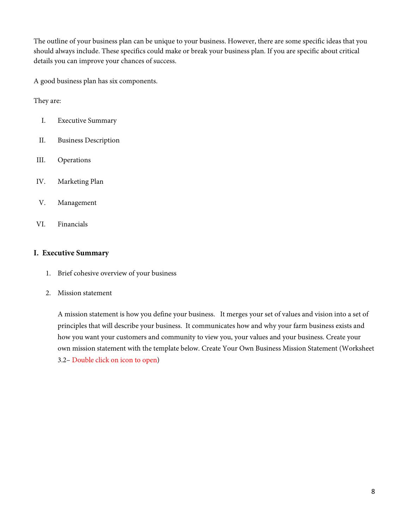The outline of your business plan can be unique to your business. However, there are some specific ideas that you should always include. These specifics could make or break your business plan. If you are specific about critical details you can improve your chances of success.

A good business plan has six components.

They are:

- I. Executive Summary
- II. Business Description
- III. Operations
- IV. Marketing Plan
- V. Management
- VI. Financials

#### **I. Executive Summary**

- 1. Brief cohesive overview of your business
- 2. Mission statement

A mission statement is how you define your business. It merges your set of values and vision into a set of principles that will describe your business. It communicates how and why your farm business exists and how you want your customers and community to view you, your values and your business. Create your own mission statement with the template below. Create Your Own Business Mission Statement (Worksheet 3.2– Double click on icon to open)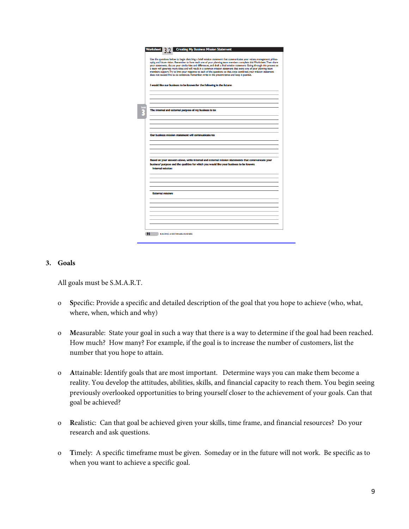| Use the questions below to begin sketching a brief mission statement that communicates your values, management philos-<br>ophy, and future vision. Remember to have each one of your planning team members complete this Worksheet. Then share<br>your statements, discuss your similarities and differences, and draft a final mission statement. Going through this process as<br>a team will generate more ideas and will result in a common mission statement that every one of your planning team<br>members support. Try to limit your response to each of the questions so that, once combined, your mission statement<br>does not exceed five to six sentences. Remember, write in the present tense and keep it positive. |
|------------------------------------------------------------------------------------------------------------------------------------------------------------------------------------------------------------------------------------------------------------------------------------------------------------------------------------------------------------------------------------------------------------------------------------------------------------------------------------------------------------------------------------------------------------------------------------------------------------------------------------------------------------------------------------------------------------------------------------|
| I would like our business to be known for the following in the future:                                                                                                                                                                                                                                                                                                                                                                                                                                                                                                                                                                                                                                                             |
|                                                                                                                                                                                                                                                                                                                                                                                                                                                                                                                                                                                                                                                                                                                                    |
| The internal and external purpose of my business is to:                                                                                                                                                                                                                                                                                                                                                                                                                                                                                                                                                                                                                                                                            |
|                                                                                                                                                                                                                                                                                                                                                                                                                                                                                                                                                                                                                                                                                                                                    |
|                                                                                                                                                                                                                                                                                                                                                                                                                                                                                                                                                                                                                                                                                                                                    |
| Our business mission statement will communicate to:                                                                                                                                                                                                                                                                                                                                                                                                                                                                                                                                                                                                                                                                                |
|                                                                                                                                                                                                                                                                                                                                                                                                                                                                                                                                                                                                                                                                                                                                    |
| Based on your answers above, write internal and external mission statements that communicate your                                                                                                                                                                                                                                                                                                                                                                                                                                                                                                                                                                                                                                  |
| business' purpose and the qualities for which you would like your business to be known:<br><b>Internal mission:</b>                                                                                                                                                                                                                                                                                                                                                                                                                                                                                                                                                                                                                |
|                                                                                                                                                                                                                                                                                                                                                                                                                                                                                                                                                                                                                                                                                                                                    |
| <b>External mission:</b>                                                                                                                                                                                                                                                                                                                                                                                                                                                                                                                                                                                                                                                                                                           |
|                                                                                                                                                                                                                                                                                                                                                                                                                                                                                                                                                                                                                                                                                                                                    |
|                                                                                                                                                                                                                                                                                                                                                                                                                                                                                                                                                                                                                                                                                                                                    |

#### **3. Goals**

All goals must be S.M.A.R.T.

- o **S**pecific: Provide a specific and detailed description of the goal that you hope to achieve (who, what, where, when, which and why)
- o **M**easurable: State your goal in such a way that there is a way to determine if the goal had been reached. How much? How many? For example, if the goal is to increase the number of customers, list the number that you hope to attain.
- o **A**ttainable: Identify goals that are most important. Determine ways you can make them become a reality. You develop the attitudes, abilities, skills, and financial capacity to reach them. You begin seeing previously overlooked opportunities to bring yourself closer to the achievement of your goals. Can that goal be achieved?
- o **R**ealistic: Can that goal be achieved given your skills, time frame, and financial resources? Do your research and ask questions.
- o **T**imely: A specific timeframe must be given. Someday or in the future will not work. Be specific as to when you want to achieve a specific goal.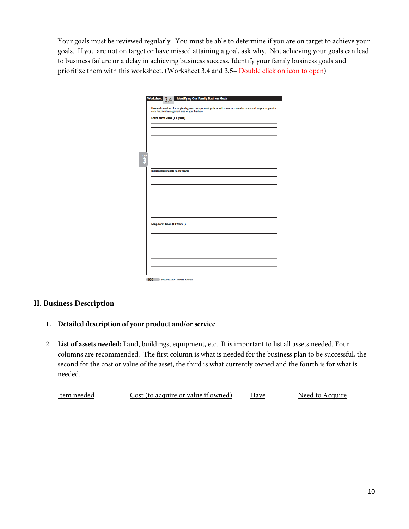Your goals must be reviewed regularly. You must be able to determine if you are on target to achieve your goals. If you are not on target or have missed attaining a goal, ask why. Not achieving your goals can lead to business failure or a delay in achieving business success. Identify your family business goals and prioritize them with this worksheet. (Worksheet 3.4 and 3.5– Double click on icon to open)

|                                     | Have each member of your planning team draft personal goals as well as one or more short-term and long-term goals for |
|-------------------------------------|-----------------------------------------------------------------------------------------------------------------------|
|                                     | each functional management area of your business.                                                                     |
| <b>Short-term Goals (I-5 years)</b> |                                                                                                                       |
|                                     |                                                                                                                       |
|                                     |                                                                                                                       |
|                                     |                                                                                                                       |
|                                     |                                                                                                                       |
|                                     |                                                                                                                       |
|                                     |                                                                                                                       |
|                                     |                                                                                                                       |
|                                     |                                                                                                                       |
|                                     |                                                                                                                       |
|                                     |                                                                                                                       |
|                                     | Intermediate Goals (5-10 years)                                                                                       |
|                                     |                                                                                                                       |
|                                     |                                                                                                                       |
|                                     |                                                                                                                       |
|                                     |                                                                                                                       |
|                                     |                                                                                                                       |
|                                     |                                                                                                                       |
|                                     |                                                                                                                       |
|                                     |                                                                                                                       |
|                                     |                                                                                                                       |
|                                     |                                                                                                                       |
|                                     |                                                                                                                       |
| Long-term Goals (10 Years +)        |                                                                                                                       |
|                                     |                                                                                                                       |
|                                     |                                                                                                                       |
|                                     |                                                                                                                       |
|                                     |                                                                                                                       |
|                                     |                                                                                                                       |
|                                     |                                                                                                                       |
|                                     |                                                                                                                       |
|                                     |                                                                                                                       |
|                                     |                                                                                                                       |
|                                     |                                                                                                                       |

# **II. Business Description**

- **1. Detailed description of your product and/or service**
- 2. **List of assets needed:** Land, buildings, equipment, etc. It is important to list all assets needed. Four columns are recommended. The first column is what is needed for the business plan to be successful, the second for the cost or value of the asset, the third is what currently owned and the fourth is for what is needed.

| Item needed | Cost (to acquire or value if owned) | Have | Need to Acquire |
|-------------|-------------------------------------|------|-----------------|
|             |                                     |      |                 |
|             |                                     |      |                 |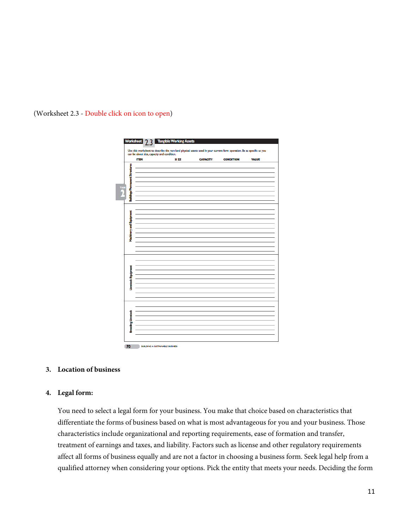

#### (Worksheet 2.3 - Double click on icon to open)

#### **3. Location of business**

#### **4. Legal form:**

You need to select a legal form for your business. You make that choice based on characteristics that differentiate the forms of business based on what is most advantageous for you and your business. Those characteristics include organizational and reporting requirements, ease of formation and transfer, treatment of earnings and taxes, and liability. Factors such as license and other regulatory requirements affect all forms of business equally and are not a factor in choosing a business form. Seek legal help from a qualified attorney when considering your options. Pick the entity that meets your needs. Deciding the form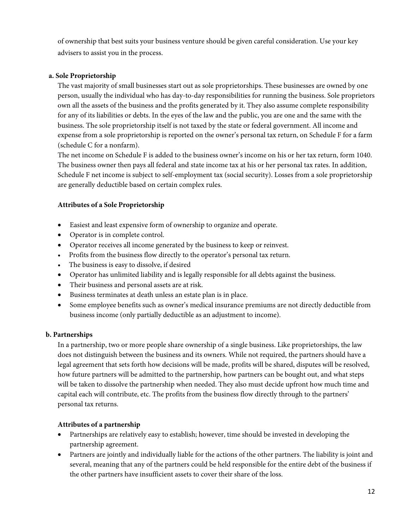of ownership that best suits your business venture should be given careful consideration. Use your key advisers to assist you in the process.

### **a. Sole Proprietorship**

The vast majority of small businesses start out as sole proprietorships. These businesses are owned by one person, usually the individual who has day-to-day responsibilities for running the business. Sole proprietors own all the assets of the business and the profits generated by it. They also assume complete responsibility for any of its liabilities or debts. In the eyes of the law and the public, you are one and the same with the business. The sole proprietorship itself is not taxed by the state or federal government. All income and expense from a sole proprietorship is reported on the owner's personal tax return, on Schedule F for a farm (schedule C for a nonfarm).

The net income on Schedule F is added to the business owner's income on his or her tax return, form 1040. The business owner then pays all federal and state income tax at his or her personal tax rates. In addition, Schedule F net income is subject to self-employment tax (social security). Losses from a sole proprietorship are generally deductible based on certain complex rules.

#### **Attributes of a Sole Proprietorship**

- Easiest and least expensive form of ownership to organize and operate.
- Operator is in complete control.
- Operator receives all income generated by the business to keep or reinvest.
- Profits from the business flow directly to the operator's personal tax return.
- The business is easy to dissolve, if desired
- Operator has unlimited liability and is legally responsible for all debts against the business.
- Their business and personal assets are at risk.
- Business terminates at death unless an estate plan is in place.
- Some employee benefits such as owner's medical insurance premiums are not directly deductible from business income (only partially deductible as an adjustment to income).

### **b. Partnerships**

In a partnership, two or more people share ownership of a single business. Like proprietorships, the law does not distinguish between the business and its owners. While not required, the partners should have a legal agreement that sets forth how decisions will be made, profits will be shared, disputes will be resolved, how future partners will be admitted to the partnership, how partners can be bought out, and what steps will be taken to dissolve the partnership when needed. They also must decide upfront how much time and capital each will contribute, etc. The profits from the business flow directly through to the partners' personal tax returns.

### **Attributes of a partnership**

- Partnerships are relatively easy to establish; however, time should be invested in developing the partnership agreement.
- Partners are jointly and individually liable for the actions of the other partners. The liability is joint and several, meaning that any of the partners could be held responsible for the entire debt of the business if the other partners have insufficient assets to cover their share of the loss.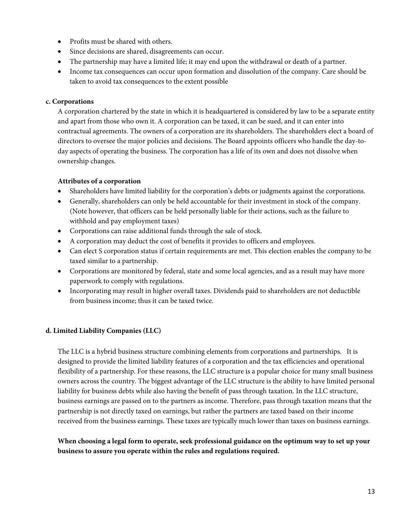- Profits must be shared with others.
- Since decisions are shared, disagreements can occur.
- The partnership may have a limited life; it may end upon the withdrawal or death of a partner.
- Income tax consequences can occur upon formation and dissolution of the company. Care should be taken to avoid tax consequences to the extent possible

# **c. Corporations**

A corporation chartered by the state in which it is headquartered is considered by law to be a separate entity and apart from those who own it. A corporation can be taxed, it can be sued, and it can enter into contractual agreements. The owners of a corporation are its shareholders. The shareholders elect a board of directors to oversee the major policies and decisions. The Board appoints officers who handle the day-today aspects of operating the business. The corporation has a life of its own and does not dissolve when ownership changes.

# **Attributes of a corporation**

- Shareholders have limited liability for the corporation's debts or judgments against the corporations.
- Generally, shareholders can only be held accountable for their investment in stock of the company. (Note however, that officers can be held personally liable for their actions, such as the failure to withhold and pay employment taxes)
- Corporations can raise additional funds through the sale of stock.
- A corporation may deduct the cost of benefits it provides to officers and employees.
- Can elect S corporation status if certain requirements are met. This election enables the company to be taxed similar to a partnership.
- Corporations are monitored by federal, state and some local agencies, and as a result may have more paperwork to comply with regulations.
- Incorporating may result in higher overall taxes. Dividends paid to shareholders are not deductible from business income; thus it can be taxed twice.

# **d. Limited Liability Companies (LLC)**

The LLC is a hybrid business structure combining elements from corporations and partnerships. It is designed to provide the limited liability features of a corporation and the tax efficiencies and operational flexibility of a partnership. For these reasons, the LLC structure is a popular choice for many small business owners across the country. The biggest advantage of the LLC structure is the ability to have limited personal liability for business debts while also having the benefit of pass through taxation. In the LLC structure, business earnings are passed on to the partners as income. Therefore, pass through taxation means that the partnership is not directly taxed on earnings, but rather the partners are taxed based on their income received from the business earnings. These taxes are typically much lower than taxes on business earnings.

# **When choosing a legal form to operate, seek professional guidance on the optimum way to set up your business to assure you operate within the rules and regulations required.**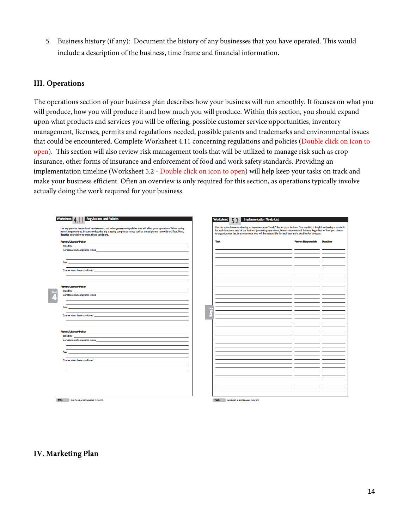5. Business history (if any): Document the history of any businesses that you have operated. This would include a description of the business, time frame and financial information.

### **III. Operations**

The operations section of your business plan describes how your business will run smoothly. It focuses on what you will produce, how you will produce it and how much you will produce. Within this section, you should expand upon what products and services you will be offering, possible customer service opportunities, inventory management, licenses, permits and regulations needed, possible patents and trademarks and environmental issues that could be encountered. Complete Worksheet 4.11 concerning regulations and policies (Double click on icon to open). This section will also review risk management tools that will be utilized to manage risk such as crop insurance, other forms of insurance and enforcement of food and work safety standards. Providing an implementation timeline (Worksheet 5.2 - Double click on icon to open) will help keep your tasks on track and make your business efficient. Often an overview is only required for this section, as operations typically involve actually doing the work required for your business.

| <b>Regulations and Policies</b><br>Worksheet<br>List any permits, institutional requirements, and other government policies that will affect your operations. When noting<br>permit requirements, be sure to describe any ongoing compliance issues such as annual permit renewals and fees. Next,<br>describe your ability to meet these conditions. | <b>Worksheet</b> | <b>Implementation To-do List</b><br>Use the space below to develop an implementation "to-do" list for your business. You may find it helpful to develop a to-do list<br>for each functional area of the business (marketing, operations, human resources and finance). Regardless of how you choose<br>to organize your list, be sure to note who will be responsible for each task and a deadline for doing so. |                           |                 |
|-------------------------------------------------------------------------------------------------------------------------------------------------------------------------------------------------------------------------------------------------------------------------------------------------------------------------------------------------------|------------------|------------------------------------------------------------------------------------------------------------------------------------------------------------------------------------------------------------------------------------------------------------------------------------------------------------------------------------------------------------------------------------------------------------------|---------------------------|-----------------|
|                                                                                                                                                                                                                                                                                                                                                       | <b>Task</b>      |                                                                                                                                                                                                                                                                                                                                                                                                                  | <b>Person Responsible</b> | <b>Deadline</b> |
| <b>Issued by:</b>                                                                                                                                                                                                                                                                                                                                     |                  |                                                                                                                                                                                                                                                                                                                                                                                                                  |                           |                 |
| Conditions and compliance issues:                                                                                                                                                                                                                                                                                                                     |                  |                                                                                                                                                                                                                                                                                                                                                                                                                  |                           |                 |
|                                                                                                                                                                                                                                                                                                                                                       |                  |                                                                                                                                                                                                                                                                                                                                                                                                                  |                           |                 |
| the control of the control of the control of the control of the control of the control of the control of the control of the control of the control of the control of the control of the control of the control of the control<br><b>Fees:</b>                                                                                                         |                  |                                                                                                                                                                                                                                                                                                                                                                                                                  |                           |                 |
|                                                                                                                                                                                                                                                                                                                                                       |                  |                                                                                                                                                                                                                                                                                                                                                                                                                  |                           |                 |
| Can we meet these conditions?                                                                                                                                                                                                                                                                                                                         |                  |                                                                                                                                                                                                                                                                                                                                                                                                                  |                           |                 |
|                                                                                                                                                                                                                                                                                                                                                       |                  |                                                                                                                                                                                                                                                                                                                                                                                                                  |                           |                 |
|                                                                                                                                                                                                                                                                                                                                                       |                  |                                                                                                                                                                                                                                                                                                                                                                                                                  |                           |                 |
|                                                                                                                                                                                                                                                                                                                                                       |                  |                                                                                                                                                                                                                                                                                                                                                                                                                  |                           |                 |
| <b>Issued by:</b><br>and the control of the control of the control of the control of the control of the control of the control of the                                                                                                                                                                                                                 |                  |                                                                                                                                                                                                                                                                                                                                                                                                                  |                           |                 |
| Conditions and compliance issues: example of the state of the state of the state of the state of the state of the state of the state of the state of the state of the state of the state of the state of the state of the stat                                                                                                                        |                  |                                                                                                                                                                                                                                                                                                                                                                                                                  |                           |                 |
|                                                                                                                                                                                                                                                                                                                                                       |                  |                                                                                                                                                                                                                                                                                                                                                                                                                  |                           |                 |
|                                                                                                                                                                                                                                                                                                                                                       |                  |                                                                                                                                                                                                                                                                                                                                                                                                                  |                           |                 |
| Fees: The Sea                                                                                                                                                                                                                                                                                                                                         |                  |                                                                                                                                                                                                                                                                                                                                                                                                                  |                           |                 |
| Can we meet these conditions?                                                                                                                                                                                                                                                                                                                         |                  |                                                                                                                                                                                                                                                                                                                                                                                                                  |                           |                 |
|                                                                                                                                                                                                                                                                                                                                                       |                  |                                                                                                                                                                                                                                                                                                                                                                                                                  |                           |                 |
|                                                                                                                                                                                                                                                                                                                                                       |                  |                                                                                                                                                                                                                                                                                                                                                                                                                  |                           |                 |
|                                                                                                                                                                                                                                                                                                                                                       |                  |                                                                                                                                                                                                                                                                                                                                                                                                                  |                           |                 |
| <b>Permit/License/Policy contract and a series of the contract of the contract of the contract of the contract of the contract of the contract of the contract of the contract of the contract of the contract of the contract o</b>                                                                                                                  |                  |                                                                                                                                                                                                                                                                                                                                                                                                                  |                           |                 |
| <b>Issued by:</b>                                                                                                                                                                                                                                                                                                                                     |                  |                                                                                                                                                                                                                                                                                                                                                                                                                  |                           |                 |
| Conditions and compliance issues: example of the state of the state of the state of the state of the state of the state of the state of the state of the state of the state of the state of the state of the state of the stat                                                                                                                        |                  |                                                                                                                                                                                                                                                                                                                                                                                                                  |                           |                 |
|                                                                                                                                                                                                                                                                                                                                                       |                  |                                                                                                                                                                                                                                                                                                                                                                                                                  |                           |                 |
|                                                                                                                                                                                                                                                                                                                                                       |                  |                                                                                                                                                                                                                                                                                                                                                                                                                  |                           |                 |
| Fees:                                                                                                                                                                                                                                                                                                                                                 |                  |                                                                                                                                                                                                                                                                                                                                                                                                                  |                           |                 |
| Can we meet these conditions?                                                                                                                                                                                                                                                                                                                         |                  |                                                                                                                                                                                                                                                                                                                                                                                                                  |                           |                 |
|                                                                                                                                                                                                                                                                                                                                                       |                  |                                                                                                                                                                                                                                                                                                                                                                                                                  |                           |                 |
|                                                                                                                                                                                                                                                                                                                                                       |                  |                                                                                                                                                                                                                                                                                                                                                                                                                  |                           |                 |
|                                                                                                                                                                                                                                                                                                                                                       |                  |                                                                                                                                                                                                                                                                                                                                                                                                                  |                           |                 |
|                                                                                                                                                                                                                                                                                                                                                       |                  |                                                                                                                                                                                                                                                                                                                                                                                                                  |                           |                 |
|                                                                                                                                                                                                                                                                                                                                                       |                  |                                                                                                                                                                                                                                                                                                                                                                                                                  |                           |                 |
|                                                                                                                                                                                                                                                                                                                                                       |                  |                                                                                                                                                                                                                                                                                                                                                                                                                  |                           |                 |
|                                                                                                                                                                                                                                                                                                                                                       |                  |                                                                                                                                                                                                                                                                                                                                                                                                                  |                           |                 |
|                                                                                                                                                                                                                                                                                                                                                       |                  |                                                                                                                                                                                                                                                                                                                                                                                                                  |                           |                 |
| - 198<br><b>BUILDING A SUSTAINABLE BUSINESS</b>                                                                                                                                                                                                                                                                                                       | 246              | <b>BUILDING A SUSTAINABLE BUSINESS</b>                                                                                                                                                                                                                                                                                                                                                                           |                           |                 |

### **IV. Marketing Plan**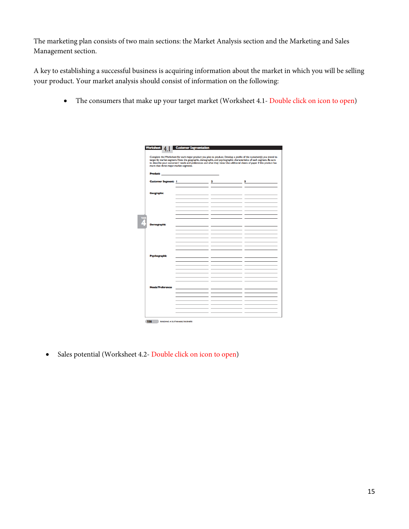The marketing plan consists of two main sections: the Market Analysis section and the Marketing and Sales Management section.

A key to establishing a successful business is acquiring information about the market in which you will be selling your product. Your market analysis should consist of information on the following:

• The consumers that make up your target market (Worksheet 4.1- Double click on icon to open)

|                                        |                          |      | Complete this Worksheet for each major product you plan to produce. Develop a profile of the customer(s) you intend to    |
|----------------------------------------|--------------------------|------|---------------------------------------------------------------------------------------------------------------------------|
|                                        |                          |      | target by market segment. Note the geographic, demographic, and psychographic characteristics of each segment. Be sure    |
| more than three major market segments. |                          |      | to describe your customers' needs and preferences and what they value. Use additional sheets of paper if this product has |
|                                        |                          |      |                                                                                                                           |
|                                        | <b>Product:</b> Product: |      |                                                                                                                           |
|                                        |                          |      |                                                                                                                           |
| <b>Customer Segment:  </b>             |                          |      | $3 - 1$                                                                                                                   |
|                                        |                          |      |                                                                                                                           |
|                                        |                          |      |                                                                                                                           |
| <b>Geographic</b>                      |                          | $ -$ | the company of the company                                                                                                |
|                                        |                          | - -  |                                                                                                                           |
|                                        |                          |      |                                                                                                                           |
|                                        |                          |      |                                                                                                                           |
|                                        |                          |      |                                                                                                                           |
|                                        |                          |      |                                                                                                                           |
|                                        |                          |      |                                                                                                                           |
|                                        |                          |      |                                                                                                                           |
| <b>Demographic</b>                     |                          |      |                                                                                                                           |
|                                        |                          |      |                                                                                                                           |
|                                        |                          |      | the company's company's com-                                                                                              |
|                                        |                          |      |                                                                                                                           |
|                                        |                          |      |                                                                                                                           |
|                                        |                          |      |                                                                                                                           |
|                                        |                          |      |                                                                                                                           |
|                                        |                          |      |                                                                                                                           |
| Psychographic                          |                          |      |                                                                                                                           |
|                                        |                          |      |                                                                                                                           |
|                                        |                          |      |                                                                                                                           |
|                                        |                          |      |                                                                                                                           |
|                                        |                          |      |                                                                                                                           |
|                                        |                          |      |                                                                                                                           |
|                                        |                          |      |                                                                                                                           |
|                                        |                          |      |                                                                                                                           |
|                                        |                          |      |                                                                                                                           |
| <b>Needs/Preferences</b>               |                          |      |                                                                                                                           |
|                                        |                          |      |                                                                                                                           |
|                                        |                          |      |                                                                                                                           |
|                                        |                          |      |                                                                                                                           |
|                                        |                          |      |                                                                                                                           |
|                                        |                          |      |                                                                                                                           |
|                                        |                          |      |                                                                                                                           |

• Sales potential (Worksheet 4.2- Double click on icon to open)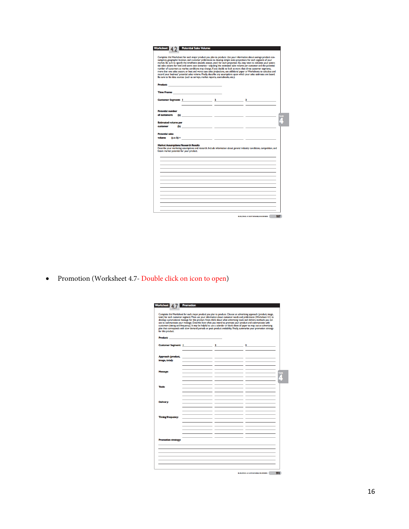| sumption, geographic location, and customer preferences to develop simple sales projections for each segment of your<br>market. Be sure to specify the timeframe (month, season, year) for each projection. You may want to calculate your poten-<br>tial sales volume for best and worst case scenarios-adjusting the estimated sales volume per customer and the potential<br>number of customers as market conditions may change. If you decide to look at more than three customer segments,<br>more than one sales season, or best and worst case sales projections, use additional paper or Worksheets to calculate and<br>record your business' potential sales volume. Finally, describe any assumptions upon which your sales estimates are based.<br>Be sure to list data sources (such as surveys, market reports, sourcebooks, etc.). |                                                                                                                                                                                                                                                                                                                                                                                                                      |  |
|---------------------------------------------------------------------------------------------------------------------------------------------------------------------------------------------------------------------------------------------------------------------------------------------------------------------------------------------------------------------------------------------------------------------------------------------------------------------------------------------------------------------------------------------------------------------------------------------------------------------------------------------------------------------------------------------------------------------------------------------------------------------------------------------------------------------------------------------------|----------------------------------------------------------------------------------------------------------------------------------------------------------------------------------------------------------------------------------------------------------------------------------------------------------------------------------------------------------------------------------------------------------------------|--|
|                                                                                                                                                                                                                                                                                                                                                                                                                                                                                                                                                                                                                                                                                                                                                                                                                                                   |                                                                                                                                                                                                                                                                                                                                                                                                                      |  |
|                                                                                                                                                                                                                                                                                                                                                                                                                                                                                                                                                                                                                                                                                                                                                                                                                                                   |                                                                                                                                                                                                                                                                                                                                                                                                                      |  |
|                                                                                                                                                                                                                                                                                                                                                                                                                                                                                                                                                                                                                                                                                                                                                                                                                                                   |                                                                                                                                                                                                                                                                                                                                                                                                                      |  |
|                                                                                                                                                                                                                                                                                                                                                                                                                                                                                                                                                                                                                                                                                                                                                                                                                                                   |                                                                                                                                                                                                                                                                                                                                                                                                                      |  |
|                                                                                                                                                                                                                                                                                                                                                                                                                                                                                                                                                                                                                                                                                                                                                                                                                                                   |                                                                                                                                                                                                                                                                                                                                                                                                                      |  |
| Time Frame: The Contract of the Contract of the Contract of the Contract of the Contract of the Contract of the Contract of the Contract of the Contract of the Contract of the Contract of the Contract of the Contract of th                                                                                                                                                                                                                                                                                                                                                                                                                                                                                                                                                                                                                    |                                                                                                                                                                                                                                                                                                                                                                                                                      |  |
| Customer Segment: 1 2 3 3                                                                                                                                                                                                                                                                                                                                                                                                                                                                                                                                                                                                                                                                                                                                                                                                                         |                                                                                                                                                                                                                                                                                                                                                                                                                      |  |
|                                                                                                                                                                                                                                                                                                                                                                                                                                                                                                                                                                                                                                                                                                                                                                                                                                                   |                                                                                                                                                                                                                                                                                                                                                                                                                      |  |
| <b>Potential number</b>                                                                                                                                                                                                                                                                                                                                                                                                                                                                                                                                                                                                                                                                                                                                                                                                                           |                                                                                                                                                                                                                                                                                                                                                                                                                      |  |
| of austomers:                                                                                                                                                                                                                                                                                                                                                                                                                                                                                                                                                                                                                                                                                                                                                                                                                                     |                                                                                                                                                                                                                                                                                                                                                                                                                      |  |
| <b>Estimated volume per</b>                                                                                                                                                                                                                                                                                                                                                                                                                                                                                                                                                                                                                                                                                                                                                                                                                       |                                                                                                                                                                                                                                                                                                                                                                                                                      |  |
| customer                                                                                                                                                                                                                                                                                                                                                                                                                                                                                                                                                                                                                                                                                                                                                                                                                                          | (b) $\qquad \qquad \qquad$ $\qquad \qquad$ $\qquad \qquad$ $\qquad \qquad$ $\qquad \qquad$ $\qquad \qquad$ $\qquad \qquad$ $\qquad \qquad$ $\qquad \qquad$ $\qquad \qquad$ $\qquad \qquad$ $\qquad \qquad$ $\qquad \qquad$ $\qquad \qquad$ $\qquad \qquad$ $\qquad \qquad$ $\qquad \qquad$ $\qquad \qquad$ $\qquad \qquad$ $\qquad \qquad$ $\qquad \qquad \qquad$ $\qquad \qquad \qquad \qquad \qquad \qquad \qquad$ |  |
| <b>Potential sales</b>                                                                                                                                                                                                                                                                                                                                                                                                                                                                                                                                                                                                                                                                                                                                                                                                                            |                                                                                                                                                                                                                                                                                                                                                                                                                      |  |
| volume                                                                                                                                                                                                                                                                                                                                                                                                                                                                                                                                                                                                                                                                                                                                                                                                                                            |                                                                                                                                                                                                                                                                                                                                                                                                                      |  |
|                                                                                                                                                                                                                                                                                                                                                                                                                                                                                                                                                                                                                                                                                                                                                                                                                                                   |                                                                                                                                                                                                                                                                                                                                                                                                                      |  |
| <b>Market Assumptions/Research Results</b>                                                                                                                                                                                                                                                                                                                                                                                                                                                                                                                                                                                                                                                                                                                                                                                                        |                                                                                                                                                                                                                                                                                                                                                                                                                      |  |
| Describe your marketing assumptions and research. Include information about general industry conditions, competition, and<br>future market potential for your product.                                                                                                                                                                                                                                                                                                                                                                                                                                                                                                                                                                                                                                                                            |                                                                                                                                                                                                                                                                                                                                                                                                                      |  |
|                                                                                                                                                                                                                                                                                                                                                                                                                                                                                                                                                                                                                                                                                                                                                                                                                                                   |                                                                                                                                                                                                                                                                                                                                                                                                                      |  |
|                                                                                                                                                                                                                                                                                                                                                                                                                                                                                                                                                                                                                                                                                                                                                                                                                                                   |                                                                                                                                                                                                                                                                                                                                                                                                                      |  |
|                                                                                                                                                                                                                                                                                                                                                                                                                                                                                                                                                                                                                                                                                                                                                                                                                                                   |                                                                                                                                                                                                                                                                                                                                                                                                                      |  |
|                                                                                                                                                                                                                                                                                                                                                                                                                                                                                                                                                                                                                                                                                                                                                                                                                                                   |                                                                                                                                                                                                                                                                                                                                                                                                                      |  |
|                                                                                                                                                                                                                                                                                                                                                                                                                                                                                                                                                                                                                                                                                                                                                                                                                                                   |                                                                                                                                                                                                                                                                                                                                                                                                                      |  |
|                                                                                                                                                                                                                                                                                                                                                                                                                                                                                                                                                                                                                                                                                                                                                                                                                                                   |                                                                                                                                                                                                                                                                                                                                                                                                                      |  |
|                                                                                                                                                                                                                                                                                                                                                                                                                                                                                                                                                                                                                                                                                                                                                                                                                                                   |                                                                                                                                                                                                                                                                                                                                                                                                                      |  |
|                                                                                                                                                                                                                                                                                                                                                                                                                                                                                                                                                                                                                                                                                                                                                                                                                                                   |                                                                                                                                                                                                                                                                                                                                                                                                                      |  |
|                                                                                                                                                                                                                                                                                                                                                                                                                                                                                                                                                                                                                                                                                                                                                                                                                                                   |                                                                                                                                                                                                                                                                                                                                                                                                                      |  |
|                                                                                                                                                                                                                                                                                                                                                                                                                                                                                                                                                                                                                                                                                                                                                                                                                                                   |                                                                                                                                                                                                                                                                                                                                                                                                                      |  |
|                                                                                                                                                                                                                                                                                                                                                                                                                                                                                                                                                                                                                                                                                                                                                                                                                                                   |                                                                                                                                                                                                                                                                                                                                                                                                                      |  |
|                                                                                                                                                                                                                                                                                                                                                                                                                                                                                                                                                                                                                                                                                                                                                                                                                                                   |                                                                                                                                                                                                                                                                                                                                                                                                                      |  |
|                                                                                                                                                                                                                                                                                                                                                                                                                                                                                                                                                                                                                                                                                                                                                                                                                                                   |                                                                                                                                                                                                                                                                                                                                                                                                                      |  |

• Promotion (Worksheet 4.7- Double click on icon to open)

|                            |  | Complete this Worksheet for each major product you plan to produce. Choose an advertising approach (product, image,<br>total) for each customer segment. Then use your information about customer needs and preferences (Worksheet 4.1) to                                                                                                                      |  |
|----------------------------|--|-----------------------------------------------------------------------------------------------------------------------------------------------------------------------------------------------------------------------------------------------------------------------------------------------------------------------------------------------------------------|--|
|                            |  | develop a promotional message for this product. Next, think about what advertising tools and delivery methods you can<br>use to communicate your message. Describe how often you intend to promote your product and communicate with<br>customers (timing and frequency). It may be helpful to use a calendar or blank sheet of paper to map out an advertising |  |
| for this product.          |  | plan that corresponds with slow demand periods or peak product availability. Finally, summarize your promotion strategy                                                                                                                                                                                                                                         |  |
| <b>Product:</b> Product:   |  |                                                                                                                                                                                                                                                                                                                                                                 |  |
|                            |  | Customer Segment: 1 and 2 and 2 and 3 and 3 and 3 and 3 and 3 and 3 and 3 and 4 and 4 and 4 and 4 and 4 and 4 and 4 and 4 and 4 and 4 and 4 and 4 and 4 and 4 and 4 and 4 and 4 and 4 and 4 and 4 and 4 and 4 and 4 and 4 and                                                                                                                                   |  |
| Approach (product,         |  |                                                                                                                                                                                                                                                                                                                                                                 |  |
| image, total):             |  |                                                                                                                                                                                                                                                                                                                                                                 |  |
| <b>Message:</b>            |  |                                                                                                                                                                                                                                                                                                                                                                 |  |
|                            |  |                                                                                                                                                                                                                                                                                                                                                                 |  |
| <b>Tools:</b>              |  |                                                                                                                                                                                                                                                                                                                                                                 |  |
|                            |  |                                                                                                                                                                                                                                                                                                                                                                 |  |
| <b>Delivery:</b>           |  |                                                                                                                                                                                                                                                                                                                                                                 |  |
|                            |  |                                                                                                                                                                                                                                                                                                                                                                 |  |
| <b>Timing/frequency:</b>   |  |                                                                                                                                                                                                                                                                                                                                                                 |  |
|                            |  |                                                                                                                                                                                                                                                                                                                                                                 |  |
|                            |  |                                                                                                                                                                                                                                                                                                                                                                 |  |
| <b>Promotion strategy:</b> |  |                                                                                                                                                                                                                                                                                                                                                                 |  |
|                            |  |                                                                                                                                                                                                                                                                                                                                                                 |  |
|                            |  |                                                                                                                                                                                                                                                                                                                                                                 |  |
|                            |  |                                                                                                                                                                                                                                                                                                                                                                 |  |
|                            |  |                                                                                                                                                                                                                                                                                                                                                                 |  |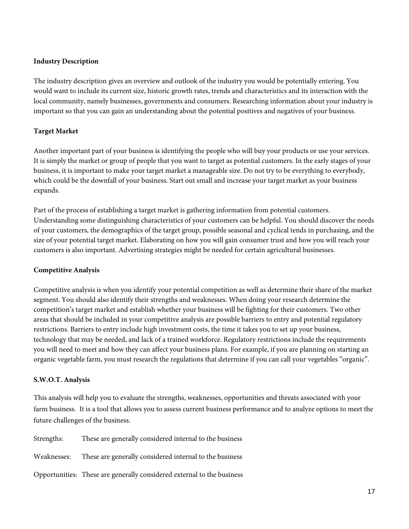### **Industry Description**

The industry description gives an overview and outlook of the industry you would be potentially entering. You would want to include its current size, historic growth rates, trends and characteristics and its interaction with the local community, namely businesses, governments and consumers. Researching information about your industry is important so that you can gain an understanding about the potential positives and negatives of your business.

# **Target Market**

Another important part of your business is identifying the people who will buy your products or use your services. It is simply the market or group of people that you want to target as potential customers. In the early stages of your business, it is important to make your target market a manageable size. Do not try to be everything to everybody, which could be the downfall of your business. Start out small and increase your target market as your business expands.

Part of the process of establishing a target market is gathering information from potential customers. Understanding some distinguishing characteristics of your customers can be helpful. You should discover the needs of your customers, the demographics of the target group, possible seasonal and cyclical tends in purchasing, and the size of your potential target market. Elaborating on how you will gain consumer trust and how you will reach your customers is also important. Advertising strategies might be needed for certain agricultural businesses.

### **Competitive Analysis**

Competitive analysis is when you identify your potential competition as well as determine their share of the market segment. You should also identify their strengths and weaknesses. When doing your research determine the competition's target market and establish whether your business will be fighting for their customers. Two other areas that should be included in your competitive analysis are possible barriers to entry and potential regulatory restrictions. Barriers to entry include high investment costs, the time it takes you to set up your business, technology that may be needed, and lack of a trained workforce. Regulatory restrictions include the requirements you will need to meet and how they can affect your business plans. For example, if you are planning on starting an organic vegetable farm, you must research the regulations that determine if you can call your vegetables "organic".

### **S.W.O.T. Analysis**

This analysis will help you to evaluate the strengths, weaknesses, opportunities and threats associated with your farm business. It is a tool that allows you to assess current business performance and to analyze options to meet the future challenges of the business.

| Strengths:  | These are generally considered internal to the business                |
|-------------|------------------------------------------------------------------------|
| Weaknesses: | These are generally considered internal to the business                |
|             | Opportunities: These are generally considered external to the business |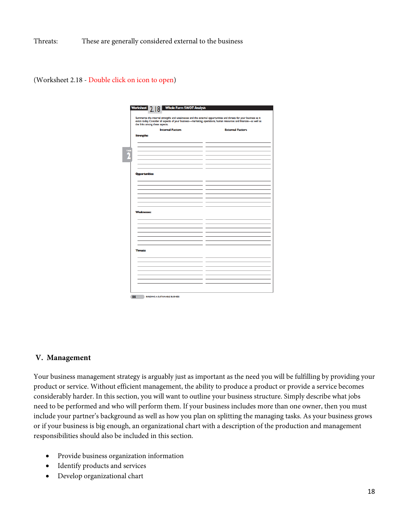Threats: These are generally considered external to the business

(Worksheet 2.18 - Double click on icon to open)

| Summarize the internal strengths and weaknesses and the external opportunities and threats for your business as it<br>exists today. Consider all aspects of your business-marketing, operations, human resources and finances-as well as<br>the links among these aspects. |                         |
|----------------------------------------------------------------------------------------------------------------------------------------------------------------------------------------------------------------------------------------------------------------------------|-------------------------|
| <b>Internal Factors</b>                                                                                                                                                                                                                                                    | <b>External Factors</b> |
| <b>Strengths:</b>                                                                                                                                                                                                                                                          |                         |
|                                                                                                                                                                                                                                                                            |                         |
|                                                                                                                                                                                                                                                                            |                         |
|                                                                                                                                                                                                                                                                            |                         |
|                                                                                                                                                                                                                                                                            |                         |
|                                                                                                                                                                                                                                                                            |                         |
|                                                                                                                                                                                                                                                                            |                         |
|                                                                                                                                                                                                                                                                            |                         |
|                                                                                                                                                                                                                                                                            |                         |
| <b>Opportunities:</b>                                                                                                                                                                                                                                                      |                         |
|                                                                                                                                                                                                                                                                            |                         |
|                                                                                                                                                                                                                                                                            |                         |
|                                                                                                                                                                                                                                                                            |                         |
|                                                                                                                                                                                                                                                                            |                         |
|                                                                                                                                                                                                                                                                            |                         |
|                                                                                                                                                                                                                                                                            |                         |
|                                                                                                                                                                                                                                                                            |                         |
| <b>Weaknesses:</b>                                                                                                                                                                                                                                                         |                         |
|                                                                                                                                                                                                                                                                            |                         |
|                                                                                                                                                                                                                                                                            |                         |
|                                                                                                                                                                                                                                                                            |                         |
|                                                                                                                                                                                                                                                                            |                         |
|                                                                                                                                                                                                                                                                            |                         |
|                                                                                                                                                                                                                                                                            |                         |
|                                                                                                                                                                                                                                                                            |                         |
|                                                                                                                                                                                                                                                                            |                         |
| <b>Threats:</b>                                                                                                                                                                                                                                                            |                         |
|                                                                                                                                                                                                                                                                            |                         |
|                                                                                                                                                                                                                                                                            |                         |
|                                                                                                                                                                                                                                                                            |                         |
|                                                                                                                                                                                                                                                                            |                         |
|                                                                                                                                                                                                                                                                            |                         |
|                                                                                                                                                                                                                                                                            |                         |
|                                                                                                                                                                                                                                                                            |                         |
|                                                                                                                                                                                                                                                                            |                         |

#### **V. Management**

Your business management strategy is arguably just as important as the need you will be fulfilling by providing your product or service. Without efficient management, the ability to produce a product or provide a service becomes considerably harder. In this section, you will want to outline your business structure. Simply describe what jobs need to be performed and who will perform them. If your business includes more than one owner, then you must include your partner's background as well as how you plan on splitting the managing tasks. As your business grows or if your business is big enough, an organizational chart with a description of the production and management responsibilities should also be included in this section.

- Provide business organization information
- Identify products and services
- Develop organizational chart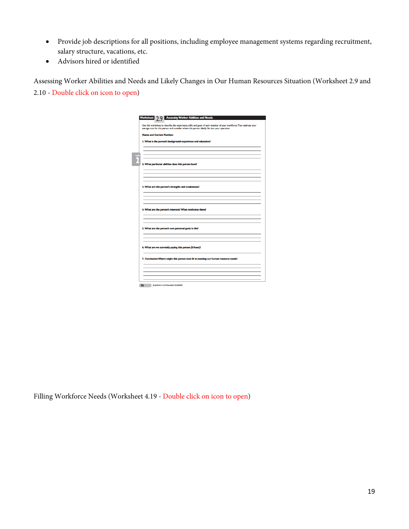- Provide job descriptions for all positions, including employee management systems regarding recruitment, salary structure, vacations, etc.
- Advisors hired or identified

Assessing Worker Abilities and Needs and Likely Changes in Our Human Resources Situation (Worksheet 2.9 and 2.10 - Double click on icon to open)

| <b>Assessing Worker Abilities and Needs</b><br><b>Worksheet</b><br>າ ໑                                                                                                                                                |
|-----------------------------------------------------------------------------------------------------------------------------------------------------------------------------------------------------------------------|
|                                                                                                                                                                                                                       |
| Use this worksheet to describe the experience, skills and goals of each member of your workforce. Then estimate your<br>average cost for this person and consider where this person ideally fits into your operation. |
|                                                                                                                                                                                                                       |
| <b>Name and Current Position:</b>                                                                                                                                                                                     |
| I. What is the person's background-experience and education?                                                                                                                                                          |
|                                                                                                                                                                                                                       |
|                                                                                                                                                                                                                       |
|                                                                                                                                                                                                                       |
|                                                                                                                                                                                                                       |
| 2. What particular abilities does this person have?                                                                                                                                                                   |
|                                                                                                                                                                                                                       |
|                                                                                                                                                                                                                       |
|                                                                                                                                                                                                                       |
| 3. What are this person's strengths and weaknesses?                                                                                                                                                                   |
|                                                                                                                                                                                                                       |
|                                                                                                                                                                                                                       |
|                                                                                                                                                                                                                       |
|                                                                                                                                                                                                                       |
| 4. What are the person's interests? What motivates them?                                                                                                                                                              |
|                                                                                                                                                                                                                       |
|                                                                                                                                                                                                                       |
|                                                                                                                                                                                                                       |
| 5. What are the person's own personal goals in life?                                                                                                                                                                  |
|                                                                                                                                                                                                                       |
|                                                                                                                                                                                                                       |
| 6. What are we currently paying this person (\$/hour)?                                                                                                                                                                |
|                                                                                                                                                                                                                       |
|                                                                                                                                                                                                                       |
| 7. Conclusion: Where might this person best fit in meeting our human resource needs?                                                                                                                                  |
|                                                                                                                                                                                                                       |
|                                                                                                                                                                                                                       |
|                                                                                                                                                                                                                       |
|                                                                                                                                                                                                                       |

Filling Workforce Needs (Worksheet 4.19 - Double click on icon to open)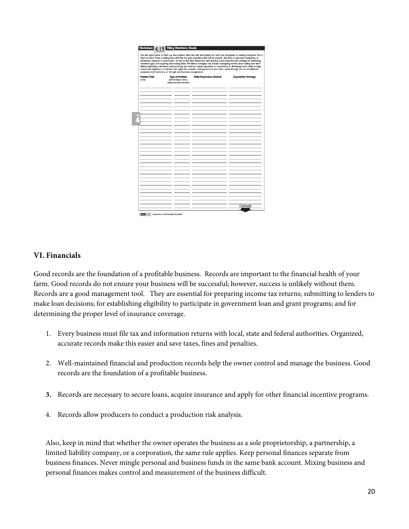|                      | equipment and machinery or through new business arrangements. | Use the space below to flesh out new position titles and task descriptions for each new enterprise or existing enterprise that is<br>short on labor. Next, if adding labor, describe the type of position that will be created-full-time or part-time, temporary or<br>permanent, seasonal or year-round-as well as the skills desired for each position. Lastly, describe your strategy for addressing<br>worldorce gaps and acquiring and training labor. Worldorce strategies may include: reassigning current labor; adding new labor<br>(family, employees, volunteers, interns); hiring out work to custom operators or consultants; or developing work trade arrange-<br>ments with neighbors or relatives. You might also consider reducing some of your labor needs through the use of additional |                             |
|----------------------|---------------------------------------------------------------|------------------------------------------------------------------------------------------------------------------------------------------------------------------------------------------------------------------------------------------------------------------------------------------------------------------------------------------------------------------------------------------------------------------------------------------------------------------------------------------------------------------------------------------------------------------------------------------------------------------------------------------------------------------------------------------------------------------------------------------------------------------------------------------------------------|-----------------------------|
| <b>Position/Task</b> | <b>Type of Position</b>                                       | <b>Skills/Experience Desired</b>                                                                                                                                                                                                                                                                                                                                                                                                                                                                                                                                                                                                                                                                                                                                                                           | <b>Acquisition Strategy</b> |
| (title)              | (full time/part time,<br>temporary/permanent)                 |                                                                                                                                                                                                                                                                                                                                                                                                                                                                                                                                                                                                                                                                                                                                                                                                            |                             |
|                      |                                                               |                                                                                                                                                                                                                                                                                                                                                                                                                                                                                                                                                                                                                                                                                                                                                                                                            |                             |
|                      |                                                               |                                                                                                                                                                                                                                                                                                                                                                                                                                                                                                                                                                                                                                                                                                                                                                                                            |                             |
|                      |                                                               |                                                                                                                                                                                                                                                                                                                                                                                                                                                                                                                                                                                                                                                                                                                                                                                                            |                             |
|                      |                                                               |                                                                                                                                                                                                                                                                                                                                                                                                                                                                                                                                                                                                                                                                                                                                                                                                            |                             |
|                      |                                                               |                                                                                                                                                                                                                                                                                                                                                                                                                                                                                                                                                                                                                                                                                                                                                                                                            |                             |
|                      |                                                               |                                                                                                                                                                                                                                                                                                                                                                                                                                                                                                                                                                                                                                                                                                                                                                                                            |                             |
|                      |                                                               |                                                                                                                                                                                                                                                                                                                                                                                                                                                                                                                                                                                                                                                                                                                                                                                                            |                             |
|                      |                                                               |                                                                                                                                                                                                                                                                                                                                                                                                                                                                                                                                                                                                                                                                                                                                                                                                            |                             |
|                      |                                                               |                                                                                                                                                                                                                                                                                                                                                                                                                                                                                                                                                                                                                                                                                                                                                                                                            |                             |
|                      |                                                               |                                                                                                                                                                                                                                                                                                                                                                                                                                                                                                                                                                                                                                                                                                                                                                                                            |                             |
|                      |                                                               |                                                                                                                                                                                                                                                                                                                                                                                                                                                                                                                                                                                                                                                                                                                                                                                                            |                             |
|                      |                                                               |                                                                                                                                                                                                                                                                                                                                                                                                                                                                                                                                                                                                                                                                                                                                                                                                            |                             |
|                      |                                                               |                                                                                                                                                                                                                                                                                                                                                                                                                                                                                                                                                                                                                                                                                                                                                                                                            |                             |
|                      |                                                               |                                                                                                                                                                                                                                                                                                                                                                                                                                                                                                                                                                                                                                                                                                                                                                                                            |                             |
|                      |                                                               |                                                                                                                                                                                                                                                                                                                                                                                                                                                                                                                                                                                                                                                                                                                                                                                                            |                             |
|                      |                                                               |                                                                                                                                                                                                                                                                                                                                                                                                                                                                                                                                                                                                                                                                                                                                                                                                            |                             |
|                      |                                                               |                                                                                                                                                                                                                                                                                                                                                                                                                                                                                                                                                                                                                                                                                                                                                                                                            |                             |
|                      |                                                               |                                                                                                                                                                                                                                                                                                                                                                                                                                                                                                                                                                                                                                                                                                                                                                                                            |                             |
|                      |                                                               |                                                                                                                                                                                                                                                                                                                                                                                                                                                                                                                                                                                                                                                                                                                                                                                                            |                             |
|                      |                                                               |                                                                                                                                                                                                                                                                                                                                                                                                                                                                                                                                                                                                                                                                                                                                                                                                            |                             |
|                      |                                                               |                                                                                                                                                                                                                                                                                                                                                                                                                                                                                                                                                                                                                                                                                                                                                                                                            |                             |
|                      |                                                               |                                                                                                                                                                                                                                                                                                                                                                                                                                                                                                                                                                                                                                                                                                                                                                                                            |                             |
|                      |                                                               |                                                                                                                                                                                                                                                                                                                                                                                                                                                                                                                                                                                                                                                                                                                                                                                                            |                             |
|                      |                                                               |                                                                                                                                                                                                                                                                                                                                                                                                                                                                                                                                                                                                                                                                                                                                                                                                            |                             |
|                      |                                                               |                                                                                                                                                                                                                                                                                                                                                                                                                                                                                                                                                                                                                                                                                                                                                                                                            |                             |
|                      |                                                               |                                                                                                                                                                                                                                                                                                                                                                                                                                                                                                                                                                                                                                                                                                                                                                                                            |                             |
|                      |                                                               |                                                                                                                                                                                                                                                                                                                                                                                                                                                                                                                                                                                                                                                                                                                                                                                                            |                             |
|                      |                                                               |                                                                                                                                                                                                                                                                                                                                                                                                                                                                                                                                                                                                                                                                                                                                                                                                            | <b>CONTINUED</b>            |

## **VI. Financials**

Good records are the foundation of a profitable business. Records are important to the financial health of your farm. Good records do not ensure your business will be successful; however, success is unlikely without them. Records are a good management tool. They are essential for preparing income tax returns; submitting to lenders to make loan decisions; for establishing eligibility to participate in government loan and grant programs; and for determining the proper level of insurance coverage.

- 1. Every business must file tax and information returns with local, state and federal authorities. Organized, accurate records make this easier and save taxes, fines and penalties.
- 2. Well-maintained financial and production records help the owner control and manage the business. Good records are the foundation of a profitable business.
- **3.** Records are necessary to secure loans, acquire insurance and apply for other financial incentive programs.
- 4. Records allow producers to conduct a production risk analysis.

Also, keep in mind that whether the owner operates the business as a sole proprietorship, a partnership, a limited liability company, or a corporation, the same rule applies. Keep personal finances separate from business finances. Never mingle personal and business funds in the same bank account. Mixing business and personal finances makes control and measurement of the business difficult.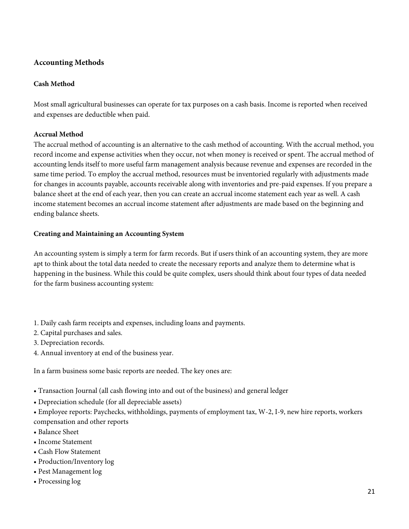# **Accounting Methods**

## **Cash Method**

Most small agricultural businesses can operate for tax purposes on a cash basis. Income is reported when received and expenses are deductible when paid.

### **Accrual Method**

The accrual method of accounting is an alternative to the cash method of accounting. With the accrual method, you record income and expense activities when they occur, not when money is received or spent. The accrual method of accounting lends itself to more useful farm management analysis because revenue and expenses are recorded in the same time period. To employ the accrual method, resources must be inventoried regularly with adjustments made for changes in accounts payable, accounts receivable along with inventories and pre-paid expenses. If you prepare a balance sheet at the end of each year, then you can create an accrual income statement each year as well. A cash income statement becomes an accrual income statement after adjustments are made based on the beginning and ending balance sheets.

### **Creating and Maintaining an Accounting System**

An accounting system is simply a term for farm records. But if users think of an accounting system, they are more apt to think about the total data needed to create the necessary reports and analyze them to determine what is happening in the business. While this could be quite complex, users should think about four types of data needed for the farm business accounting system:

- 1. Daily cash farm receipts and expenses, including loans and payments.
- 2. Capital purchases and sales.
- 3. Depreciation records.
- 4. Annual inventory at end of the business year.

In a farm business some basic reports are needed. The key ones are:

- Transaction Journal (all cash flowing into and out of the business) and general ledger
- Depreciation schedule (for all depreciable assets)

• Employee reports: Paychecks, withholdings, payments of employment tax, W-2, I-9, new hire reports, workers compensation and other reports

- Balance Sheet
- Income Statement
- Cash Flow Statement
- Production/Inventory log
- Pest Management log
- Processing log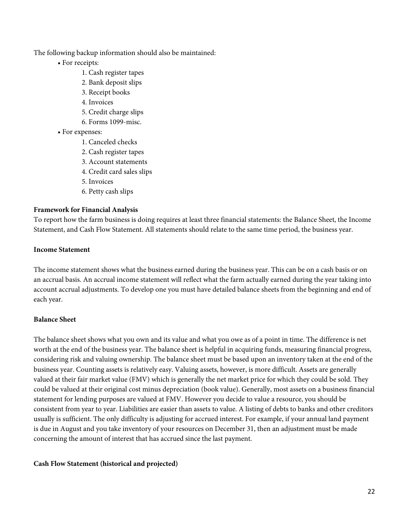The following backup information should also be maintained:

- For receipts:
	- 1. Cash register tapes
	- 2. Bank deposit slips
	- 3. Receipt books
	- 4. Invoices
	- 5. Credit charge slips
	- 6. Forms 1099-misc.
- For expenses:
	- 1. Canceled checks
	- 2. Cash register tapes
	- 3. Account statements
	- 4. Credit card sales slips
	- 5. Invoices
	- 6. Petty cash slips

### **Framework for Financial Analysis**

To report how the farm business is doing requires at least three financial statements: the Balance Sheet, the Income Statement, and Cash Flow Statement. All statements should relate to the same time period, the business year.

### **Income Statement**

The income statement shows what the business earned during the business year. This can be on a cash basis or on an accrual basis. An accrual income statement will reflect what the farm actually earned during the year taking into account accrual adjustments. To develop one you must have detailed balance sheets from the beginning and end of each year.

### **Balance Sheet**

The balance sheet shows what you own and its value and what you owe as of a point in time. The difference is net worth at the end of the business year. The balance sheet is helpful in acquiring funds, measuring financial progress, considering risk and valuing ownership. The balance sheet must be based upon an inventory taken at the end of the business year. Counting assets is relatively easy. Valuing assets, however, is more difficult. Assets are generally valued at their fair market value (FMV) which is generally the net market price for which they could be sold. They could be valued at their original cost minus depreciation (book value). Generally, most assets on a business financial statement for lending purposes are valued at FMV. However you decide to value a resource, you should be consistent from year to year. Liabilities are easier than assets to value. A listing of debts to banks and other creditors usually is sufficient. The only difficulty is adjusting for accrued interest. For example, if your annual land payment is due in August and you take inventory of your resources on December 31, then an adjustment must be made concerning the amount of interest that has accrued since the last payment.

### **Cash Flow Statement (historical and projected)**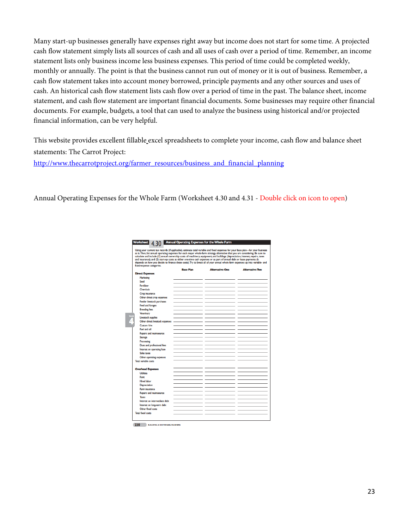Many start-up businesses generally have expenses right away but income does not start for some time. A projected cash flow statement simply lists all sources of cash and all uses of cash over a period of time. Remember, an income statement lists only business income less business expenses. This period of time could be completed weekly, monthly or annually. The point is that the business cannot run out of money or it is out of business. Remember, a cash flow statement takes into account money borrowed, principle payments and any other sources and uses of cash. An historical cash flow statement lists cash flow over a period of time in the past. The balance sheet, income statement, and cash flow statement are important financial documents. Some businesses may require other financial documents. For example, budgets, a tool that can used to analyze the business using historical and/or projected financial information, can be very helpful.

This website provides excellent fillable excel spreadsheets to complete your income, cash flow and balance sheet statements: The Carrot Project:

[http://www.thecarrotproject.org/farmer\\_resources/business\\_and\\_financial\\_planning](http://www.thecarrotproject.org/farmer_resources/business_and_financial_planning)

Annual Operating Expenses for the Whole Farm (Worksheet 4.30 and 4.31 - Double click on icon to open)

| Using your current tax records (if applicable), estimate total variable and fixed expenses for your base plan-for your business<br>as is. Then, list annual operating expenses for each major whole-farm strategy alternative that you are considering. Be sure to<br>calculate and include (1) annual ownership costs of machinery, equipment, and buildings (depreciation, interest, repairs, taxes<br>and insurance); and (2) start-up costs as either one-time cash expenses or as part of annual debt or lease payments (it<br>depends on how you decide to finance these costs). Try to break all of your annual whole farm expenses up into variable- and<br>fixed-expense categories. |                  |                        |                        |
|-----------------------------------------------------------------------------------------------------------------------------------------------------------------------------------------------------------------------------------------------------------------------------------------------------------------------------------------------------------------------------------------------------------------------------------------------------------------------------------------------------------------------------------------------------------------------------------------------------------------------------------------------------------------------------------------------|------------------|------------------------|------------------------|
| <b>Direct Expenses</b>                                                                                                                                                                                                                                                                                                                                                                                                                                                                                                                                                                                                                                                                        | <b>Base Plan</b> | <b>Alternative One</b> | <b>Alternative Two</b> |
| Marketing                                                                                                                                                                                                                                                                                                                                                                                                                                                                                                                                                                                                                                                                                     |                  |                        |                        |
| Seed                                                                                                                                                                                                                                                                                                                                                                                                                                                                                                                                                                                                                                                                                          |                  |                        |                        |
| Fertilizer                                                                                                                                                                                                                                                                                                                                                                                                                                                                                                                                                                                                                                                                                    |                  |                        |                        |
| <b>Chemirals</b>                                                                                                                                                                                                                                                                                                                                                                                                                                                                                                                                                                                                                                                                              |                  |                        |                        |
| Crop insurance                                                                                                                                                                                                                                                                                                                                                                                                                                                                                                                                                                                                                                                                                |                  |                        |                        |
| Other direct crop expenses                                                                                                                                                                                                                                                                                                                                                                                                                                                                                                                                                                                                                                                                    |                  |                        |                        |
| <b>Feeder livestock purchases</b>                                                                                                                                                                                                                                                                                                                                                                                                                                                                                                                                                                                                                                                             |                  |                        |                        |
| Feed and forages                                                                                                                                                                                                                                                                                                                                                                                                                                                                                                                                                                                                                                                                              |                  |                        |                        |
| <b>Breeding fees</b>                                                                                                                                                                                                                                                                                                                                                                                                                                                                                                                                                                                                                                                                          |                  |                        |                        |
| <b>Veterinary</b>                                                                                                                                                                                                                                                                                                                                                                                                                                                                                                                                                                                                                                                                             |                  |                        |                        |
| <b>Livestock supplies</b>                                                                                                                                                                                                                                                                                                                                                                                                                                                                                                                                                                                                                                                                     |                  |                        |                        |
| Other direct livestock expenses                                                                                                                                                                                                                                                                                                                                                                                                                                                                                                                                                                                                                                                               |                  |                        |                        |
| Custom hire                                                                                                                                                                                                                                                                                                                                                                                                                                                                                                                                                                                                                                                                                   |                  |                        |                        |
| Fuel and oil                                                                                                                                                                                                                                                                                                                                                                                                                                                                                                                                                                                                                                                                                  |                  |                        |                        |
| Repairs and maintenance                                                                                                                                                                                                                                                                                                                                                                                                                                                                                                                                                                                                                                                                       |                  |                        |                        |
| <b>Storage</b>                                                                                                                                                                                                                                                                                                                                                                                                                                                                                                                                                                                                                                                                                |                  |                        |                        |
| Processing                                                                                                                                                                                                                                                                                                                                                                                                                                                                                                                                                                                                                                                                                    |                  |                        |                        |
| Dues and professional fees                                                                                                                                                                                                                                                                                                                                                                                                                                                                                                                                                                                                                                                                    |                  |                        |                        |
| Interest on operating loan                                                                                                                                                                                                                                                                                                                                                                                                                                                                                                                                                                                                                                                                    |                  |                        |                        |
| Sales taxes                                                                                                                                                                                                                                                                                                                                                                                                                                                                                                                                                                                                                                                                                   |                  |                        |                        |
| Other operating expenses                                                                                                                                                                                                                                                                                                                                                                                                                                                                                                                                                                                                                                                                      |                  |                        |                        |
| Total variable costs                                                                                                                                                                                                                                                                                                                                                                                                                                                                                                                                                                                                                                                                          |                  |                        |                        |
|                                                                                                                                                                                                                                                                                                                                                                                                                                                                                                                                                                                                                                                                                               |                  |                        |                        |
| <b>Overhead Expenses</b>                                                                                                                                                                                                                                                                                                                                                                                                                                                                                                                                                                                                                                                                      |                  |                        |                        |
| Utilities                                                                                                                                                                                                                                                                                                                                                                                                                                                                                                                                                                                                                                                                                     |                  |                        |                        |
| Rent                                                                                                                                                                                                                                                                                                                                                                                                                                                                                                                                                                                                                                                                                          |                  |                        |                        |
| <b>Hired labor</b>                                                                                                                                                                                                                                                                                                                                                                                                                                                                                                                                                                                                                                                                            |                  |                        |                        |
| Depreciation                                                                                                                                                                                                                                                                                                                                                                                                                                                                                                                                                                                                                                                                                  |                  |                        |                        |
| Farm insurance                                                                                                                                                                                                                                                                                                                                                                                                                                                                                                                                                                                                                                                                                |                  |                        |                        |
| Repairs and maintenance                                                                                                                                                                                                                                                                                                                                                                                                                                                                                                                                                                                                                                                                       |                  |                        |                        |
| <b>Taxes</b>                                                                                                                                                                                                                                                                                                                                                                                                                                                                                                                                                                                                                                                                                  |                  |                        |                        |
| Interest on intermediate debt                                                                                                                                                                                                                                                                                                                                                                                                                                                                                                                                                                                                                                                                 |                  |                        |                        |
|                                                                                                                                                                                                                                                                                                                                                                                                                                                                                                                                                                                                                                                                                               |                  |                        |                        |
| Interest on long-term debt<br>Other fixed costs                                                                                                                                                                                                                                                                                                                                                                                                                                                                                                                                                                                                                                               |                  |                        |                        |
|                                                                                                                                                                                                                                                                                                                                                                                                                                                                                                                                                                                                                                                                                               |                  |                        |                        |

220 BUILDING A SUSTAINABLE BUSINESS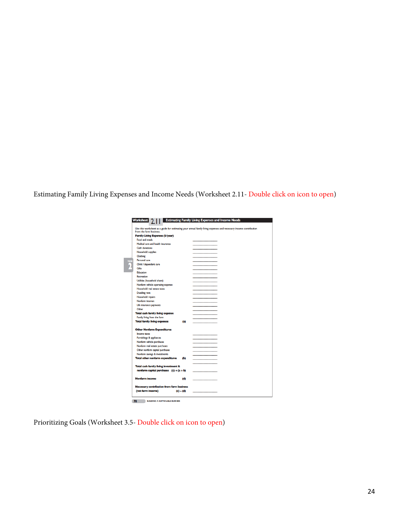Estimating Family Living Expenses and Income Needs (Worksheet 2.11- Double click on icon to open)

| from the farm business.                          |             | Use this worksheet as a guide for estimating your annual family living expenses and necessary income contribution |
|--------------------------------------------------|-------------|-------------------------------------------------------------------------------------------------------------------|
| Family Living Expenses (\$/year)                 |             |                                                                                                                   |
| Food and meals                                   |             |                                                                                                                   |
| Medical care and health insurance                |             |                                                                                                                   |
| <b>Cash donations</b>                            |             |                                                                                                                   |
| <b>Household supplies</b>                        |             |                                                                                                                   |
| Clothing                                         |             |                                                                                                                   |
| Personal care                                    |             |                                                                                                                   |
| Child / dependent care                           |             |                                                                                                                   |
| Gifts                                            |             |                                                                                                                   |
| <b>Education</b>                                 |             |                                                                                                                   |
| Recreation                                       |             |                                                                                                                   |
| Utilities (household share)                      |             |                                                                                                                   |
| Nonfarm vehicle operating expense                |             |                                                                                                                   |
| Household real estate taxes                      |             |                                                                                                                   |
| Dwelling rent                                    |             |                                                                                                                   |
| <b>Household repairs</b>                         |             |                                                                                                                   |
| Nonfarm interest                                 |             |                                                                                                                   |
| Life insurance payments                          |             |                                                                                                                   |
| Other                                            |             |                                                                                                                   |
| <b>Total cash family living expense</b>          |             |                                                                                                                   |
| Family living from the farm                      |             |                                                                                                                   |
| <b>Total family living expenses</b>              | (a)         |                                                                                                                   |
| <b>Other Nonfarm Expenditures</b>                |             |                                                                                                                   |
| Income taxes                                     |             |                                                                                                                   |
| Furnishings & appliances                         |             |                                                                                                                   |
| Nonfarm vehicle purchases                        |             |                                                                                                                   |
| Nonfarm real estate purchases                    |             |                                                                                                                   |
| Other nonfarm capital purchases                  |             |                                                                                                                   |
| Nonfarm savings & investments                    |             |                                                                                                                   |
| <b>Total other nonfarm expenditures</b>          | (b)         |                                                                                                                   |
|                                                  |             |                                                                                                                   |
| Total cash family living investment &            |             |                                                                                                                   |
| nonfarm capital purchases $(c) = (a + b)$        |             |                                                                                                                   |
|                                                  |             |                                                                                                                   |
| <b>Nonfarm income</b>                            | (d)         |                                                                                                                   |
| <b>Necessary contribution from farm business</b> |             |                                                                                                                   |
| (net farm income)                                | $(c) - (d)$ |                                                                                                                   |

Prioritizing Goals (Worksheet 3.5- Double click on icon to open)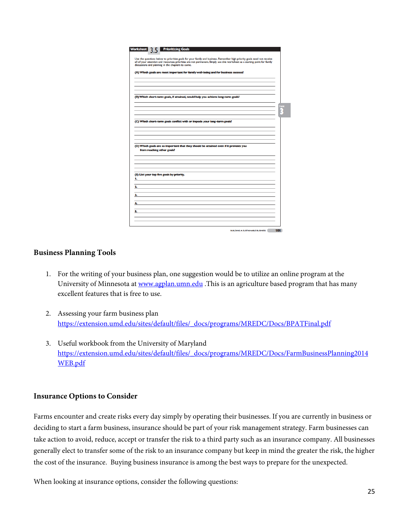| Worksheet           |                                          | <b>Prioritizing Goals</b>                         |                                                                                                                                                                                                                                                        |  |  |     |
|---------------------|------------------------------------------|---------------------------------------------------|--------------------------------------------------------------------------------------------------------------------------------------------------------------------------------------------------------------------------------------------------------|--|--|-----|
|                     |                                          |                                                   |                                                                                                                                                                                                                                                        |  |  |     |
|                     |                                          | discussions and planning in the chapters to come. | Use the questions below to prioritize goals for your family and business. Remember high priority goals need not receive<br>all of your attention and resources; priorities are not permanent. Simply use this worksheet as a starting point for family |  |  |     |
|                     |                                          |                                                   | (A) Which goals are most important for family well-being and for business success?                                                                                                                                                                     |  |  |     |
|                     |                                          |                                                   |                                                                                                                                                                                                                                                        |  |  |     |
|                     |                                          |                                                   |                                                                                                                                                                                                                                                        |  |  |     |
|                     |                                          |                                                   |                                                                                                                                                                                                                                                        |  |  |     |
|                     |                                          |                                                   | (B) Which short-term goals, if attained, would help you achieve long-term goals?                                                                                                                                                                       |  |  |     |
|                     |                                          |                                                   |                                                                                                                                                                                                                                                        |  |  | राज |
|                     |                                          |                                                   |                                                                                                                                                                                                                                                        |  |  |     |
|                     |                                          |                                                   |                                                                                                                                                                                                                                                        |  |  |     |
|                     |                                          |                                                   | (C) Which short-term goals conflict with or impede your long-term goals?                                                                                                                                                                               |  |  |     |
|                     |                                          |                                                   |                                                                                                                                                                                                                                                        |  |  |     |
|                     |                                          |                                                   |                                                                                                                                                                                                                                                        |  |  |     |
|                     |                                          |                                                   |                                                                                                                                                                                                                                                        |  |  |     |
|                     |                                          |                                                   |                                                                                                                                                                                                                                                        |  |  |     |
|                     | from reaching other goals?               |                                                   | (D) Which goals are so important that they should be attained even if it prevents you                                                                                                                                                                  |  |  |     |
|                     |                                          |                                                   |                                                                                                                                                                                                                                                        |  |  |     |
|                     |                                          |                                                   |                                                                                                                                                                                                                                                        |  |  |     |
|                     |                                          |                                                   |                                                                                                                                                                                                                                                        |  |  |     |
|                     |                                          | (E) List your top five goals by priority.         |                                                                                                                                                                                                                                                        |  |  |     |
|                     | <b>In the community of the community</b> |                                                   |                                                                                                                                                                                                                                                        |  |  |     |
|                     |                                          |                                                   |                                                                                                                                                                                                                                                        |  |  |     |
|                     |                                          |                                                   |                                                                                                                                                                                                                                                        |  |  |     |
| $\sim$ $\sim$<br>3. |                                          |                                                   |                                                                                                                                                                                                                                                        |  |  |     |
| 4.                  |                                          |                                                   |                                                                                                                                                                                                                                                        |  |  |     |
|                     |                                          |                                                   |                                                                                                                                                                                                                                                        |  |  |     |
| 5.                  |                                          |                                                   |                                                                                                                                                                                                                                                        |  |  |     |
|                     |                                          |                                                   |                                                                                                                                                                                                                                                        |  |  |     |

#### **Business Planning Tools**

- 1. For the writing of your business plan, one suggestion would be to utilize an online program at the University of Minnesota at [www.agplan.umn.edu](http://www.agplan.umn.edu/) .This is an agriculture based program that has many excellent features that is free to use.
- 2. Assessing your farm business plan [https://extension.umd.edu/sites/default/files/\\_docs/programs/MREDC/Docs/BPATFinal.pdf](https://extension.umd.edu/sites/default/files/_docs/programs/MREDC/Docs/BPATFinal.pdf)
- 3. Useful workbook from the University of Maryland [https://extension.umd.edu/sites/default/files/\\_docs/programs/MREDC/Docs/FarmBusinessPlanning2014](https://extension.umd.edu/sites/default/files/_docs/programs/MREDC/Docs/FarmBusinessPlanning2014WEB.pdf) [WEB.pdf](https://extension.umd.edu/sites/default/files/_docs/programs/MREDC/Docs/FarmBusinessPlanning2014WEB.pdf)

### **Insurance Options to Consider**

Farms encounter and create risks every day simply by operating their businesses. If you are currently in business or deciding to start a farm business, insurance should be part of your risk management strategy. Farm businesses can take action to avoid, reduce, accept or transfer the risk to a third party such as an insurance company. All businesses generally elect to transfer some of the risk to an insurance company but keep in mind the greater the risk, the higher the cost of the insurance. Buying business insurance is among the best ways to prepare for the unexpected.

When looking at insurance options, consider the following questions: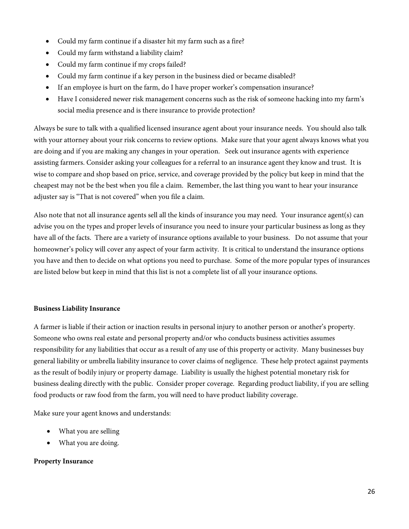- Could my farm continue if a disaster hit my farm such as a fire?
- Could my farm withstand a liability claim?
- Could my farm continue if my crops failed?
- Could my farm continue if a key person in the business died or became disabled?
- If an employee is hurt on the farm, do I have proper worker's compensation insurance?
- Have I considered newer risk management concerns such as the risk of someone hacking into my farm's social media presence and is there insurance to provide protection?

Always be sure to talk with a qualified licensed insurance agent about your insurance needs. You should also talk with your attorney about your risk concerns to review options. Make sure that your agent always knows what you are doing and if you are making any changes in your operation. Seek out insurance agents with experience assisting farmers. Consider asking your colleagues for a referral to an insurance agent they know and trust. It is wise to compare and shop based on price, service, and coverage provided by the policy but keep in mind that the cheapest may not be the best when you file a claim. Remember, the last thing you want to hear your insurance adjuster say is "That is not covered" when you file a claim.

Also note that not all insurance agents sell all the kinds of insurance you may need. Your insurance agent(s) can advise you on the types and proper levels of insurance you need to insure your particular business as long as they have all of the facts. There are a variety of insurance options available to your business. Do not assume that your homeowner's policy will cover any aspect of your farm activity. It is critical to understand the insurance options you have and then to decide on what options you need to purchase. Some of the more popular types of insurances are listed below but keep in mind that this list is not a complete list of all your insurance options.

#### **Business Liability Insurance**

A farmer is liable if their action or inaction results in personal injury to another person or another's property. Someone who owns real estate and personal property and/or who conducts business activities assumes responsibility for any liabilities that occur as a result of any use of this property or activity. Many businesses buy general liability or umbrella liability insurance to cover claims of negligence. These help protect against payments as the result of bodily injury or property damage. Liability is usually the highest potential monetary risk for business dealing directly with the public. Consider proper coverage. Regarding product liability, if you are selling food products or raw food from the farm, you will need to have product liability coverage.

Make sure your agent knows and understands:

- What you are selling
- What you are doing.

#### **Property Insurance**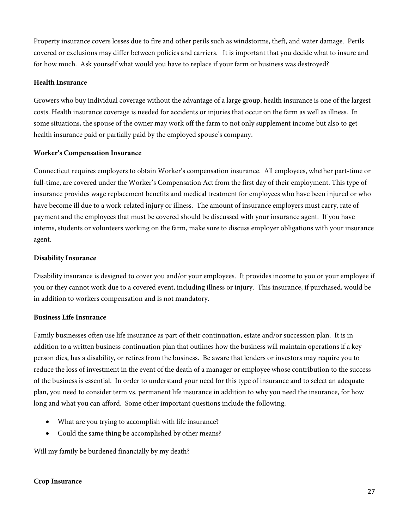Property insurance covers losses due to fire and other perils such as windstorms, theft, and water damage. Perils covered or exclusions may differ between policies and carriers. It is important that you decide what to insure and for how much. Ask yourself what would you have to replace if your farm or business was destroyed?

#### **Health Insurance**

Growers who buy individual coverage without the advantage of a large group, health insurance is one of the largest costs. Health insurance coverage is needed for accidents or injuries that occur on the farm as well as illness. In some situations, the spouse of the owner may work off the farm to not only supplement income but also to get health insurance paid or partially paid by the employed spouse's company.

#### **Worker's Compensation Insurance**

Connecticut requires employers to obtain Worker's compensation insurance. All employees, whether part-time or full-time, are covered under the Worker's Compensation Act from the first day of their employment. This type of insurance provides wage replacement benefits and medical treatment for employees who have been injured or who have become ill due to a work-related injury or illness. The amount of insurance employers must carry, rate of payment and the employees that must be covered should be discussed with your insurance agent. If you have interns, students or volunteers working on the farm, make sure to discuss employer obligations with your insurance agent.

#### **Disability Insurance**

Disability insurance is designed to cover you and/or your employees. It provides income to you or your employee if you or they cannot work due to a covered event, including illness or injury. This insurance, if purchased, would be in addition to workers compensation and is not mandatory.

#### **Business Life Insurance**

Family businesses often use life insurance as part of their continuation, estate and/or succession plan. It is in addition to a written business continuation plan that outlines how the business will maintain operations if a key person dies, has a disability, or retires from the business. Be aware that lenders or investors may require you to reduce the loss of investment in the event of the death of a manager or employee whose contribution to the success of the business is essential. In order to understand your need for this type of insurance and to select an adequate plan, you need to consider term vs. permanent life insurance in addition to why you need the insurance, for how long and what you can afford. Some other important questions include the following:

- What are you trying to accomplish with life insurance?
- Could the same thing be accomplished by other means?

Will my family be burdened financially by my death?

#### **Crop Insurance**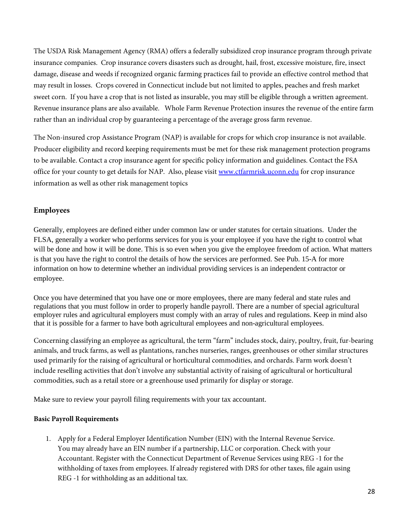The USDA Risk Management Agency (RMA) offers a federally subsidized crop insurance program through private insurance companies. Crop insurance covers disasters such as drought, hail, frost, excessive moisture, fire, insect damage, disease and weeds if recognized organic farming practices fail to provide an effective control method that may result in losses. Crops covered in Connecticut include but not limited to apples, peaches and fresh market sweet corn. If you have a crop that is not listed as insurable, you may still be eligible through a written agreement. Revenue insurance plans are also available. Whole Farm Revenue Protection insures the revenue of the entire farm rather than an individual crop by guaranteeing a percentage of the average gross farm revenue.

The Non-insured crop Assistance Program (NAP) is available for crops for which crop insurance is not available. Producer eligibility and record keeping requirements must be met for these risk management protection programs to be available. Contact a crop insurance agent for specific policy information and guidelines. Contact the FSA office for your county to get details for NAP. Also, please visit [www.ctfarmrisk.uconn.edu](http://www.ctfarmrisk.uconn.edu/) for crop insurance information as well as other risk management topics

# **Employees**

Generally, employees are defined either under common law or under statutes for certain situations. Under the FLSA, generally a worker who performs services for you is your employee if you have the right to control what will be done and how it will be done. This is so even when you give the employee freedom of action. What matters is that you have the right to control the details of how the services are performed. See Pub. 15-A for more information on how to determine whether an individual providing services is an independent contractor or employee.

Once you have determined that you have one or more employees, there are many federal and state rules and regulations that you must follow in order to properly handle payroll. There are a number of special agricultural employer rules and agricultural employers must comply with an array of rules and regulations. Keep in mind also that it is possible for a farmer to have both agricultural employees and non-agricultural employees.

Concerning classifying an employee as agricultural, the term ''farm'' includes stock, dairy, poultry, fruit, fur-bearing animals, and truck farms, as well as plantations, ranches nurseries, ranges, greenhouses or other similar structures used primarily for the raising of agricultural or horticultural commodities, and orchards. Farm work doesn't include reselling activities that don't involve any substantial activity of raising of agricultural or horticultural commodities, such as a retail store or a greenhouse used primarily for display or storage.

Make sure to review your payroll filing requirements with your tax accountant.

### **Basic Payroll Requirements**

1. Apply for a Federal Employer Identification Number (EIN) with the Internal Revenue Service. You may already have an EIN number if a partnership, LLC or corporation. Check with your Accountant. Register with the Connecticut Department of Revenue Services using REG -1 for the withholding of taxes from employees. If already registered with DRS for other taxes, file again using REG -1 for withholding as an additional tax.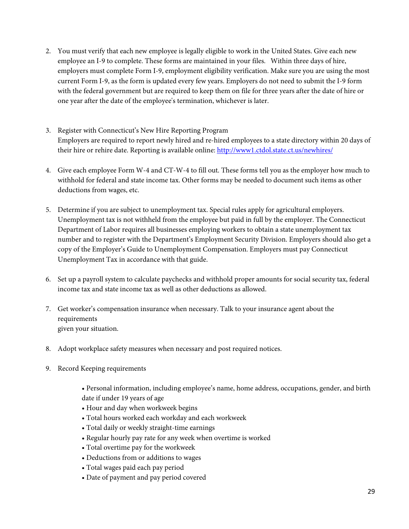- 2. You must verify that each new employee is legally eligible to work in the United States. Give each new employee an I-9 to complete. These forms are maintained in your files. Within three days of hire, employers must complete Form I-9, employment eligibility verification. Make sure you are using the most current Form I-9, as the form is updated every few years. Employers do not need to submit the I-9 form with the federal government but are required to keep them on file for three years after the date of hire or one year after the date of the employee's termination, whichever is later.
- 3. Register with Connecticut's New Hire Reporting Program Employers are required to report newly hired and re-hired employees to a state directory within 20 days of their hire or rehire date. Reporting is available online:<http://www1.ctdol.state.ct.us/newhires/>
- 4. Give each employee Form W-4 and CT-W-4 to fill out. These forms tell you as the employer how much to withhold for federal and state income tax. Other forms may be needed to document such items as other deductions from wages, etc.
- 5. Determine if you are subject to unemployment tax. Special rules apply for agricultural employers. Unemployment tax is not withheld from the employee but paid in full by the employer. The Connecticut Department of Labor requires all businesses employing workers to obtain a state unemployment tax number and to register with the Department's Employment Security Division. Employers should also get a copy of the Employer's Guide to Unemployment Compensation. Employers must pay Connecticut Unemployment Tax in accordance with that guide.
- 6. Set up a payroll system to calculate paychecks and withhold proper amounts for social security tax, federal income tax and state income tax as well as other deductions as allowed.
- 7. Get worker's compensation insurance when necessary. Talk to your insurance agent about the requirements given your situation.
- 8. Adopt workplace safety measures when necessary and post required notices.
- 9. Record Keeping requirements
	- Personal information, including employee's name, home address, occupations, gender, and birth date if under 19 years of age
	- Hour and day when workweek begins
	- Total hours worked each workday and each workweek
	- Total daily or weekly straight-time earnings
	- Regular hourly pay rate for any week when overtime is worked
	- Total overtime pay for the workweek
	- Deductions from or additions to wages
	- Total wages paid each pay period
	- Date of payment and pay period covered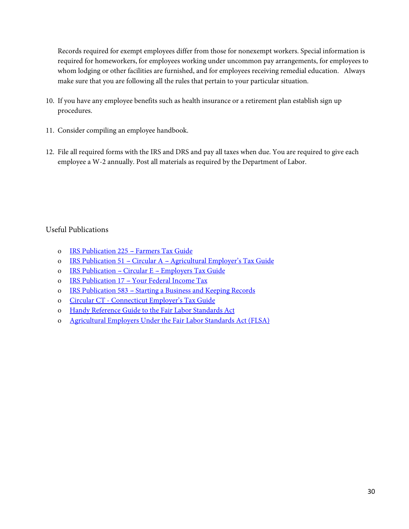Records required for exempt employees differ from those for nonexempt workers. Special information is required for homeworkers, for employees working under uncommon pay arrangements, for employees to whom lodging or other facilities are furnished, and for employees receiving remedial education. Always make sure that you are following all the rules that pertain to your particular situation.

- 10. If you have any employee benefits such as health insurance or a retirement plan establish sign up procedures.
- 11. Consider compiling an employee handbook.
- 12. File all required forms with the IRS and DRS and pay all taxes when due. You are required to give each employee a W-2 annually. Post all materials as required by the Department of Labor.

# Useful Publications

- o IRS Publication 225 Farmers Tax Guide
- o IRS Publication 51 Circular A [Agricultural Employer's Tax Guide](https://www.irs.gov/pub/irs-pdf/p51.pdf)
- o IRS Publication Circular E [Employers Tax Guide](https://www.irs.gov/pub/irs-pdf/p15.pdf)
- o IRS Publication 17 [Your Federal Income Tax](https://www.irs.gov/pub/irs-pdf/p17.pdf)
- o IRS Publication 583 [Starting a Business and Keeping Records](https://www.irs.gov/pub/irs-pdf/p583.pdf)
- o Circular CT [Connecticut Employer's Tax Guide](http://www.ct.gov/drs/lib/drs/publications/pubsip/2016/ip2016-1.pdf)
- o Handy Reference Guide to [the Fair Labor Standards Act](https://www.dol.gov/whd/regs/compliance/wh1282.pdf)
- o [Agricultural Employers Under the Fair Labor Standards Act \(FLSA\)](https://www.dol.gov/whd/regs/compliance/whdfs12.pdf)